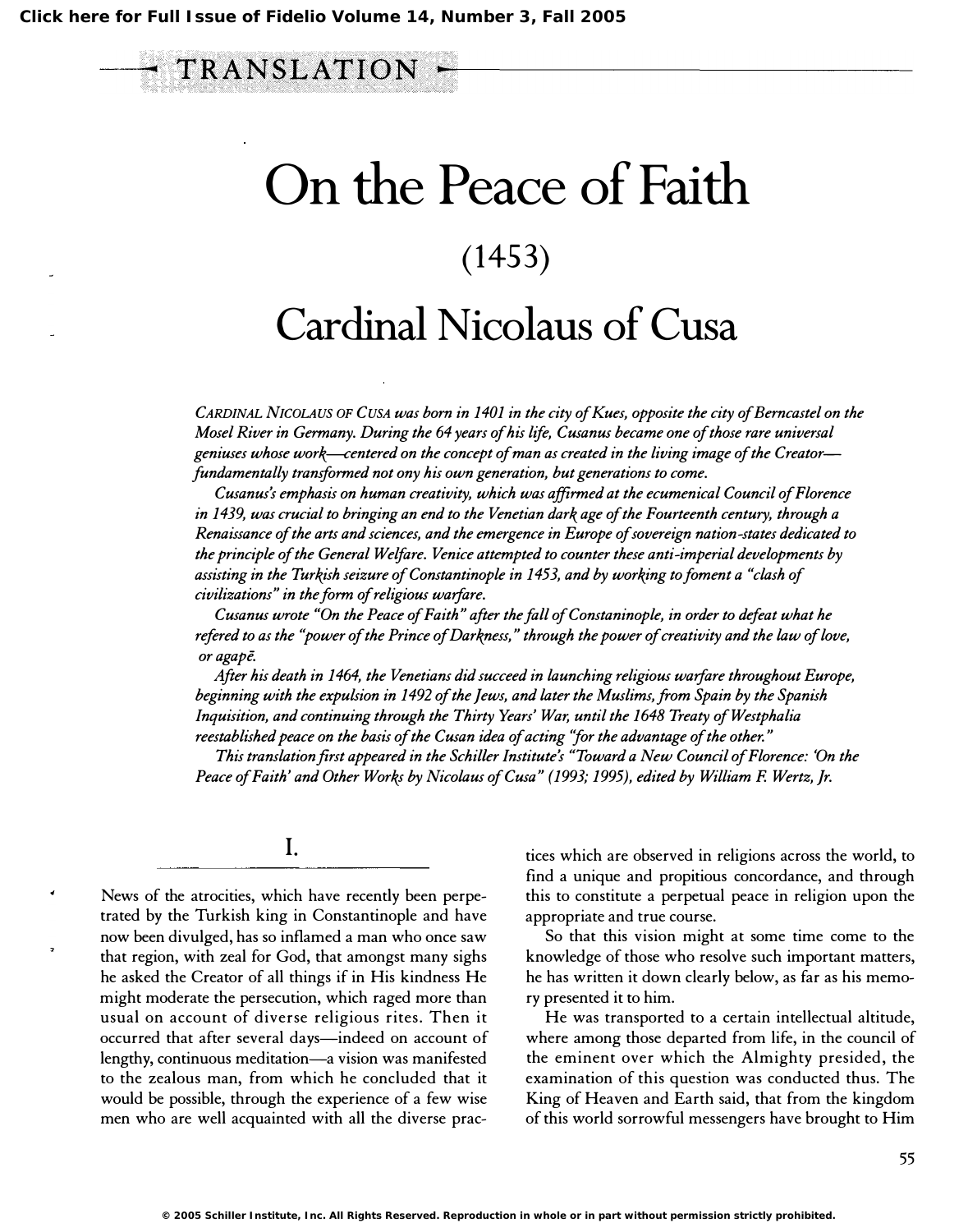# $TRANSLATION$

# On the Peace of Faith (1453) Cardinal Nicolaus of Cusa

CARDINAL NICOLAUS OF CUSA was born in 1401 in the city of Kues, opposite the city of Berncastel on the Mosel River in Germany. During the 64 years of his life, C usanus became one of those rare universal geniuses whose work--centered on the concept of man as created in the living image of the Creatorfundamentally transformed not ony his own generation, but generations to come.

Cusanus's emphasis on human creativity, which was affirmed at the ecumenical Council of Florence in 1439, was crucial to bringing an end to the Venetian dark age of the Fourteenth century, through a Renaissance of the arts and sciences, and the emergence in Europe of sovereign nation -states dedicated to the principle of the General Welfare. Venice attempted to counter these anti-imperial developments by assisting in the Turkish seizure of Constantinople in 1453, and by working to foment a "clash of civilizations" in the form of religious warfare.

Cusanus wrote "On the Peace of Faith" after the fall of Constaninople, in order to defeat what he refered to as the "power of the Prince of Darkness, " through the power of creativity and the law of love, or agape.

After his death in 1464, the Venetians did succeed in launching religious warfare throughout Europe, beginning with the expulsion in 1492 of the Jews, and later the Muslims, from Spain by the Spanish Inquisition, and continuing through the Thirty Years' War, until the 1648 Treaty of Westphalia reestablished peace on the basis of the Cusan idea of acting "for the advantage of the other."

This translation first appeared in the Schiller Institute's "Toward a New Council of Florence: 'On the Peace of Faith' and Other Works by Nicolaus of Cusa" (1993; 1995), edited by William F. Wertz, Jr.

### I.

News of the atrocities, which have recently been perpetrated by the Turkish king in Constantinople and have now been divulged, has so inflamed a man who once saw that region, with zeal for God, that amongst many sighs he asked the Creator of all things if in His kindness He might moderate the persecution, which raged more than usual on account of diverse religious rites. Then it occurred that after several days-indeed on account of lengthy, continuous meditation-a vision was manifested to the zealous man, from which he concluded that it would be possible, through the experience of a few wise men who are well acquainted with all the diverse practices which are observed in religions across the world, to find a unique and propitious concordance, and through this to constitute a perpetual peace in religion upon the appropriate and true course.

So that this vision might at some time come to the knowledge of those who resolve such important matters, he has written it down clearly below, as far as his memory presented it to him.

He was transported to a certain intellectual altitude, where among those departed from life, in the council of the eminent over which the Almighty presided, the examination of this question was conducted thus. The King of Heaven and Earth said, that from the kingdom of this world sorrowful messengers have brought to Him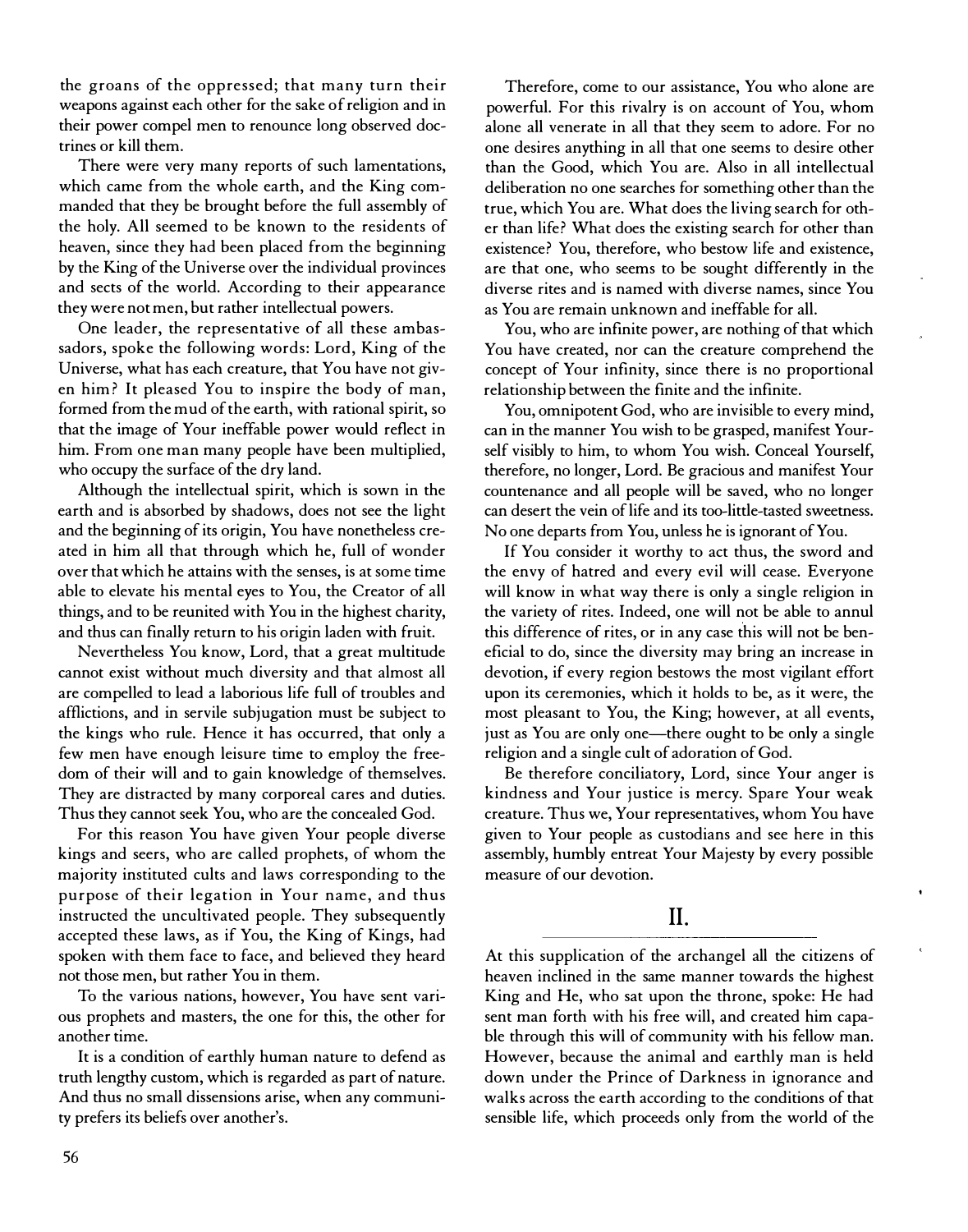the groans of the oppressed; that many turn their weapons against each other for the sake of religion and in their power compel men to renounce long observed doctrines or kill them.

There were very many reports of such lamentations, which came from the whole earth, and the King commanded that they be brought before the full assembly of the holy. All seemed to be known to the residents of heaven, since they had been placed from the beginning by the King of the Universe over the individual provinces and sects of the world. According to their appearance they were not men, but rather intellectual powers.

One leader, the representative of all these ambassadors, spoke the following words: Lord, King of the Universe, what has each creature, that You have not given him? It pleased You to inspire the body of man, formed from the mud of the earth, with rational spirit, so that the image of Your ineffable power would reflect in him. From one man many people have been multiplied, who occupy the surface of the dry land.

Although the intellectual spirit, which is sown in the earth and is absorbed by shadows, does not see the light and the beginning of its origin, You have nonetheless created in him all that through which he, full of wonder over that which he attains with the senses, is at some time able to elevate his mental eyes to You, the Creator of all things, and to be reunited with You in the highest charity, and thus can finally return to his origin laden with fruit.

Nevertheless You know, Lord, that a great multitude cannot exist without much diversity and that almost all are compelled to lead a laborious life full of troubles and afflictions, and in servile subjugation must be subject to the kings who rule. Hence it has occurred, that only a few men have enough leisure time to employ the freedom of their will and to gain knowledge of themselves. They are distracted by many corporeal cares and duties. Thus they cannot seek You, who are the concealed God.

For this reason You have given Your people diverse kings and seers, who are called prophets, of whom the majority instituted cults and laws corresponding to the purpose of their legation in Your name, and thus instructed the uncultivated people. They subsequently accepted these laws, as if You, the King of Kings, had spoken with them face to face, and believed they heard not those men, but rather You in them.

To the various nations, however, You have sent various prophets and masters, the one for this, the other for another time.

It is a condition of earthly human nature to defend as truth lengthy custom, which is regarded as part of nature. And thus no small dissensions arise, when any community prefers its beliefs over another's.

Therefore, come to our assistance, You who alone are powerful. For this rivalry is on account of You, whom alone all venerate in all that they seem to adore. For no one desires anything in all that one seems to desire other than the Good, which You are. Also in all intellectual deliberation no one searches for something other than the true, which You are. What does the living search for other than life? What does the existing search for other than existence? You, therefore, who bestow life and existence, are that one, who seems to be sought differently in the diverse rites and is named with diverse names, since You as You are remain unknown and ineffable for all.

You, who are infinite power, are nothing of that which You have created, nor can the creature comprehend the concept of Your infinity, since there is no proportional relationship between the finite and the infinite.

You, omnipotent God, who are invisible to every mind, can in the manner You wish to be grasped, manifest Yourself visibly to him, to whom You wish. Conceal Yourself, therefore, no longer, Lord. Be gracious and manifest Your countenance and all people will be saved, who no longer can desert the vein of life and its too-little-tasted sweetness. No one departs from You, unless he is ignorant of You.

If You consider it worthy to act thus, the sword and the envy of hatred and every evil will cease. Everyone will know in what way there is only a single religion in the variety of rites. Indeed, one will not be able to annul this difference of rites, or in any case this will not be beneficial to do, since the diversity may bring an increase in devotion, if every region bestows the most vigilant effort upon its ceremonies, which it holds to be, as it were, the most pleasant to You, the King; however, at all events, just as You are only one—there ought to be only a single religion and a single cult of adoration of God.

Be therefore conciliatory, Lord, since Your anger is kindness and Your justice is mercy. Spare Your weak creature. Thus we, Your representatives, whom You have given to Your people as custodians and see here in this assembly, humbly entreat Your Majesty by every possible measure of our devotion.

#### II.

At this supplication of the archangel all the citizens of heaven inclined in the same manner towards the highest King and He, who sat upon the throne, spoke: He had sent man forth with his free will, and created him capable through this will of community with his fellow man. However, because the animal and earthly man is held down under the Prince of Darkness in ignorance and walks across the earth according to the conditions of that sensible life, which proceeds only from the world of the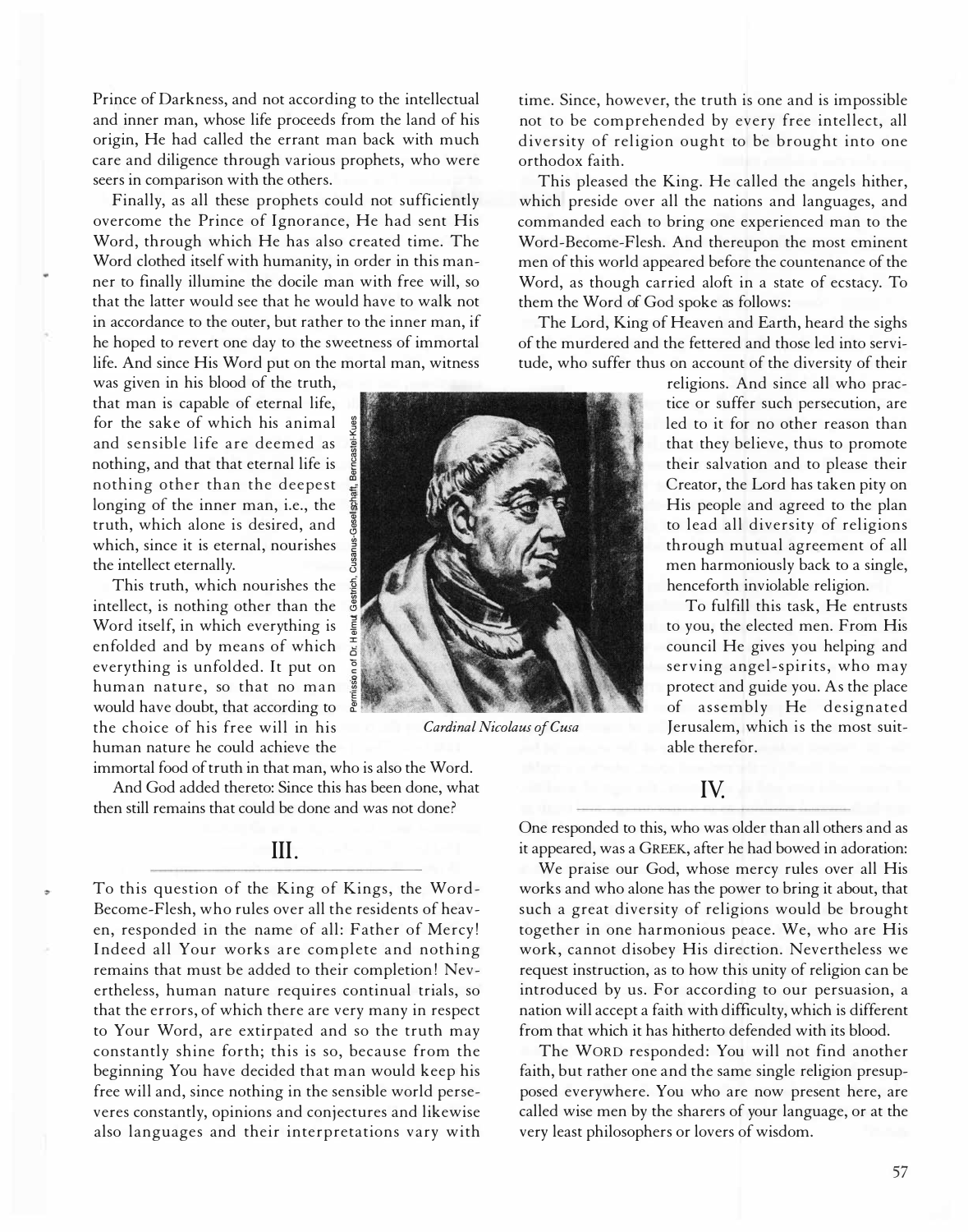Prince of Darkness, and not according to the intellectual and inner man, whose life proceeds from the land of his origin, He had called the errant man back with much care and diligence through various prophets, who were seers in comparison with the others.

Finally, as all these prophets could not sufficiently overcome the Prince of Ignorance, He had sent His Word, through which He has also created time. The Word clothed itself with humanity, in order in this manner to finally illumine the docile man with free will, so that the latter would see that he would have to walk not in accordance to the outer, but rather to the inner man, if he hoped to revert one day to the sweetness of immortal life. And since His Word put on the mortal man, witness

was given in his blood of the truth, that man is capable of eternal life, for the sake of which his animal and sensible life are deemed as nothing, and that that eternal life is n othing 0 th er than the deepe nothing other than the deepest<br>longing of the inner man, i.e., the  $\frac{1}{26}$ truth, which alone is desired, and which, since it is eternal, nourishes the intellect eternally.

This truth, which nourishes the intellect, is nothing other than the Word itself, in which everything is enfolded and by means of which everything is unfolded. It put on human nature, so that no man<br>would have doubt, that according to the choice of his free will in his Cardinal Nicolaus of Cusa human nature he could achieve the able therefor.

immortal food of truth in that man, who is also the Word.

And God added thereto: Since this has been done, what then still remains that could be done and was not done?

# III.

To this question of the King of Kings, the Word-Become-Flesh, who rules over all the residents of heaven, responded in the name of all: Father of Mercy! Indeed all Your works are complete and nothing remains that must be added to their completion! Nevertheless, human nature requires continual trials, so that the errors, of which there are very many in respect to Your Word, are extirpated and so the truth may constantly shine forth; this is so, because from the beginning You have decided that man would keep his free will and, since nothing in the sensible world perseveres constantly, opinions and conjectures and likewise also languages and their interpretations vary with

time. Since, however, the truth is one and is impossible not to be comprehended by every free intellect, all diversity of religion ought to be brought into one orthodox faith.

This pleased the King. He called the angels hither, which preside over all the nations and languages, and commanded each to bring one experienced man to the Word-Become-Flesh. And thereupon the most eminent men of this world appeared before the countenance of the Word, as though carried aloft in a state of ecstacy. To them the Word of God spoke as follows:

The Lord, King of Heaven and Earth, heard the sighs of the murdered and the fettered and those led into servitude, who suffer thus on account of the diversity of their

> religions. And since all who practice or suffer such persecution, are led to it for no other reason than that they believe, thus to promote their salvation and to please their Creator, the Lord has taken pity on His people and agreed to the plan to lead all diversity of religions through mutual agreement of all men harmoniously back to a single, henceforth inviolable religion.

> To fulfill this task, He entrusts to you, the elected men. From His council He gives you helping and serving angel-spirits, who may protect and guide you. As the place of assembly He designated Jerusalem, which is the most suit-

> > IV.

One responded to this, who was older than all others and as it appeared, was a GREEK, after he had bowed in adoration:

We praise our God, whose mercy rules over all His works and who alone has the power to bring it about, that such a great diversity of religions would be brought together in one harmonious peace. We, who are His work, cannot disobey His direction. Nevertheless we request instruction, as to how this unity of religion can be introduced by us. For according to our persuasion, a nation will accept a faith with difficulty, which is different from that which it has hitherto defended with its blood.

The WORD responded: You will not find another faith, but rather one and the same single religion presupposed everywhere. You who are now present here, are called wise men by the sharers of your language, or at the very least philosophers or lovers of wisdom.

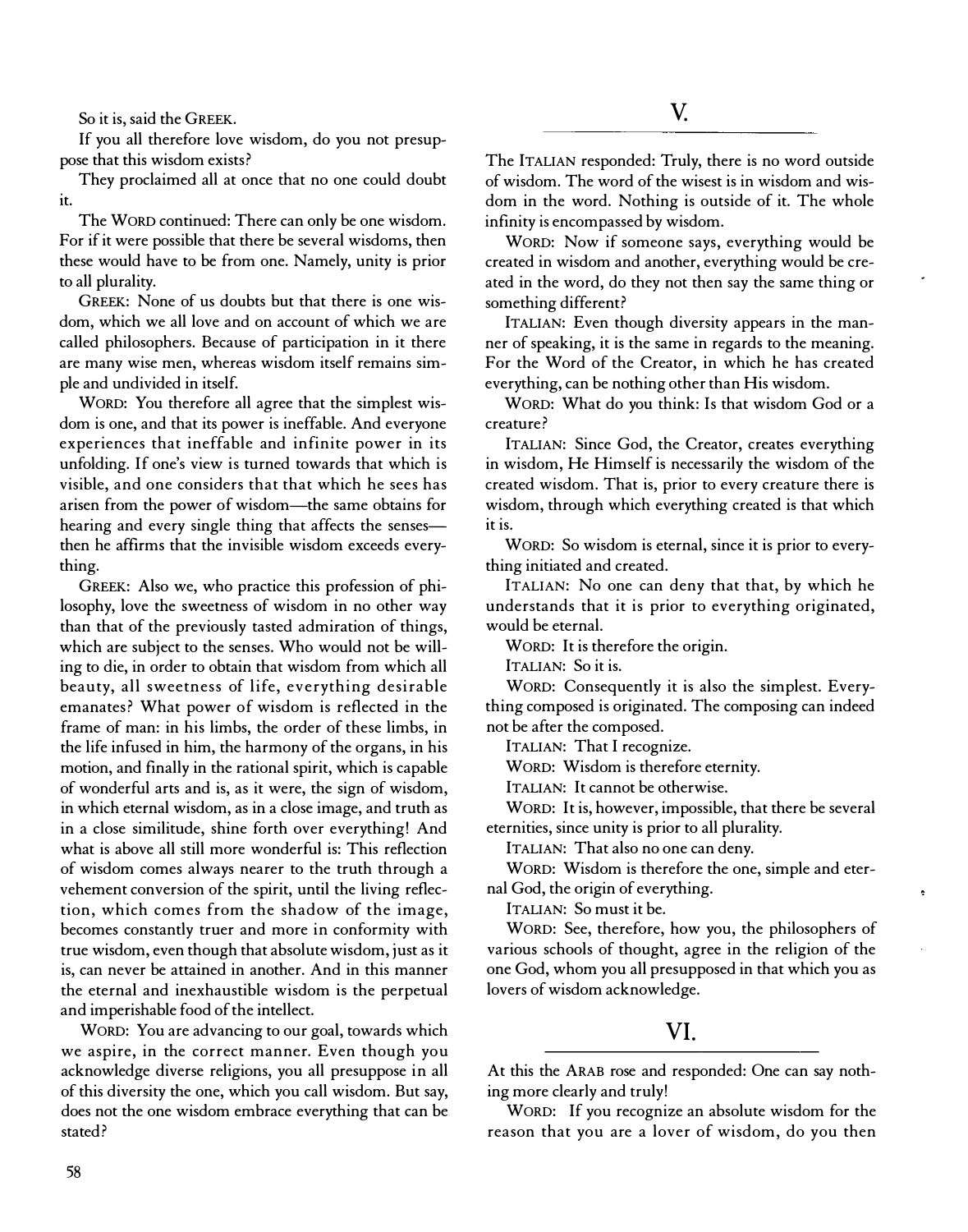So it is, said the GREEK.

If you all therefore love wisdom, do you not presuppose that this wisdom exists?

They proclaimed all at once that no one could doubt it.

The WORD continued: There can only be one wisdom. For if it were possible that there be several wisdoms, then these would have to be from one. Namely, unity is prior to all plurality.

GREEK: None of us doubts but that there is one wisdom, which we all love and on account of which we are called philosophers. Because of participation in it there are many wise men, whereas wisdom itself remains simple and undivided in itself.

WORD: You therefore all agree that the simplest wisdom is one, and that its power is ineffable. And everyone experiences that ineffable and infinite power in its unfolding. If one's view is turned towards that which is visible, and one considers that that which he sees has arisen from the power of wisdom-the same obtains for hearing and every single thing that affects the sensesthen he affirms that the invisible wisdom exceeds everything.

GREEK: Also we, who practice this profession of philosophy, love the sweetness of wisdom in no other way than that of the previously tasted admiration of things, which are subject to the senses. Who would not be willing to die, in order to obtain that wisdom from which all beauty, all sweetness of life, everything desirable emanates? What power of wisdom is reflected in the frame of man: in his limbs, the order of these limbs, in the life infused in him, the harmony of the organs, in his motion, and finally in the rational spirit, which is capable of wonderful arts and is, as it were, the sign of wisdom, in which eternal wisdom, as in a close image, and truth as in a close similitude, shine forth over everything! And what is above all still more wonderful is: This reflection of wisdom comes always nearer to the truth through a vehement conversion of the spirit, until the living reflection, which comes from the shadow of the image, becomes constantly truer and more in conformity with true wisdom, even though that absolute wisdom, just as it is, can never be attained in another. And in this manner the eternal and inexhaustible wisdom is the perpetual and imperishable food of the intellect.

WORD: You are advancing to our goal, towards which we aspire, in the correct manner. Even though you acknowledge diverse religions, you all presuppose in all of this diversity the one, which you call wisdom. But say, does not the one wisdom embrace everything that can be stated?

The ITALIAN responded: Truly, there is no word outside of wisdom. The word of the wisest is in wisdom and wisdom in the word. Nothing is outside of it. The whole infinity is encompassed by wisdom.

WORD: Now if someone says, everything would be created in wisdom and another, everything would be created in the word, do they not then say the same thing or something different?

ITALIAN: Even though diversity appears in the manner of speaking, it is the same in regards to the meaning. For the Word of the Creator, in which he has created everything, can be nothing other than His wisdom.

WORD: What do you think: Is that wisdom God or a creature?

ITALIAN: Since God, the Creator, creates everything in wisdom, He Himself is necessarily the wisdom of the created wisdom. That is, prior to every creature there is wisdom, through which everything created is that which it is.

WORD: So wisdom is eternal, since it is prior to everything initiated and created.

ITALIAN: No one can deny that that, by which he understands that it is prior to everything originated, would be eternal.

WORD: It is therefore the origin.

ITALIAN: So it is.

WORD: Consequently it is also the simplest. Everything composed is originated. The composing can indeed not be after the composed.

ITALIAN: That I recognize.

WORD: Wisdom is therefore eternity.

ITALIAN: It cannot be otherwise.

WORD: It is, however, impossible, that there be several eternities, since unity is prior to all plurality.

ITALIAN: That also no one can deny.

WORD: Wisdom is therefore the one, simple and eternal God, the origin of everything.

 $\bullet$ 

ITALIAN: So must it be.

WORD: See, therefore, how you, the philosophers of various schools of thought, agree in the religion of the one God, whom you all presupposed in that which you as lovers of wisdom acknowledge.

#### VI.

At this the ARAB rose and responded: One can say nothing more clearly and truly!

WORD: If you recognize an absolute wisdom for the reason that you are a lover of wisdom, do you then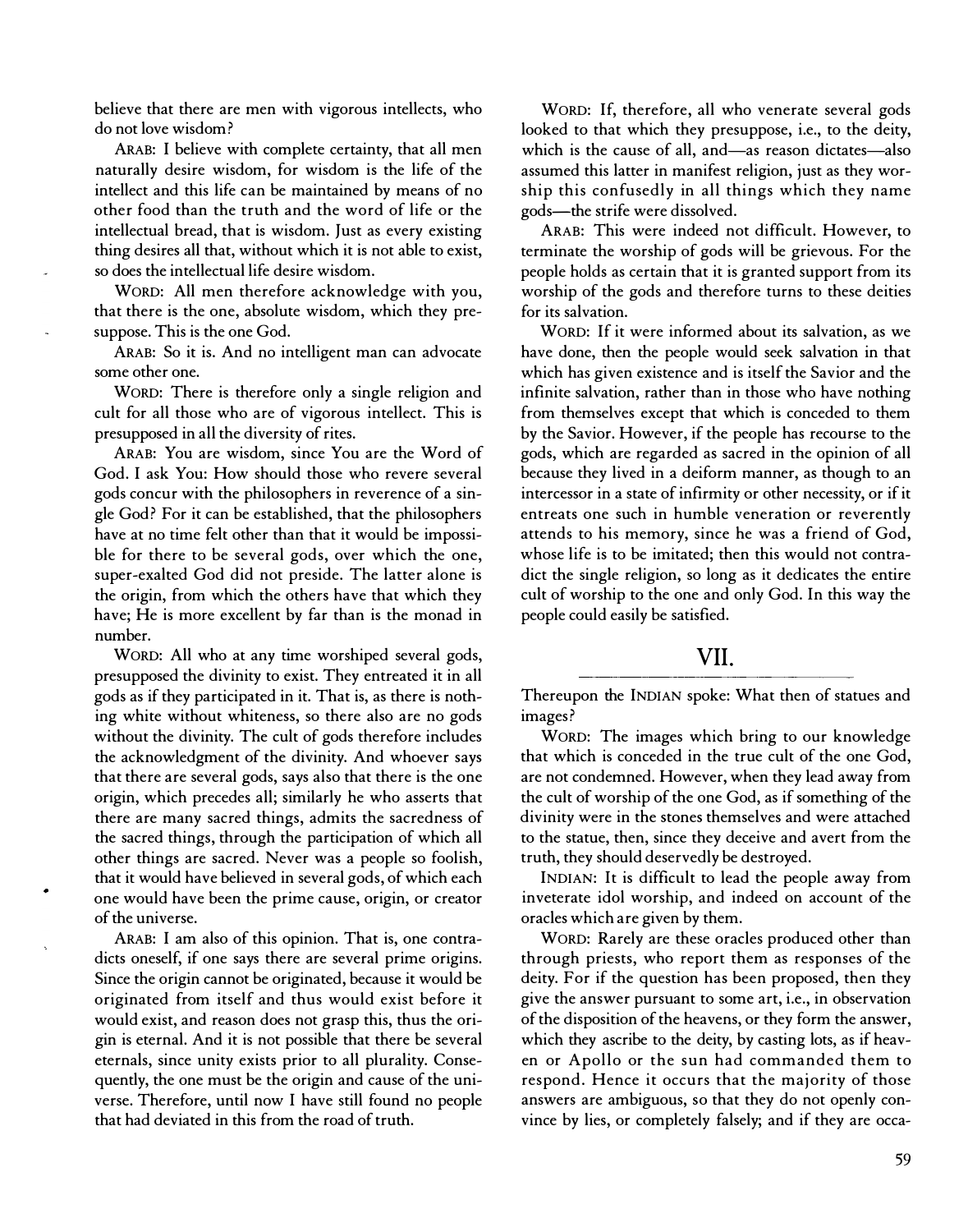believe that there are men with vigorous intellects, who do not love wisdom?

ARAB: I believe with complete certainty, that all men naturally desire wisdom, for wisdom is the life of the intellect and this life can be maintained by means of no other food than the truth and the word of life or the intellectual bread, that is wisdom. Just as every existing thing desires all that, without which it is not able to exist, so does the intellectual life desire wisdom.

WORD: All men therefore acknowledge with you, that there is the one, absolute wisdom, which they presuppose. This is the one God.

ARAB: So it is. And no intelligent man can advocate some other one.

WORD: There is therefore only a single religion and cult for all those who are of vigorous intellect. This is presupposed in all the diversity of rites.

ARAB: You are wisdom, since You are the Word of God. I ask You: How should those who revere several gods concur with the philosophers in reverence of a single God? For it can be established, that the philosophers have at no time felt other than that it would be impossible for there to be several gods, over which the one, super-exalted God did not preside. The latter alone is the origin, from which the others have that which they have; He is more excellent by far than is the monad in number.

WORD: All who at any time worshiped several gods, presupposed the divinity to exist. They entreated it in all gods as if they participated in it. That is, as there is nothing white without whiteness, so there also are no gods without the divinity. The cult of gods therefore includes the acknowledgment of the divinity. And whoever says that there are several gods, says also that there is the one origin, which precedes all; similarly he who asserts that there are many sacred things, admits the sacredness of the sacred things, through the participation of which all other things are sacred. Never was a people so foolish, that it would have believed in several gods, of which each one would have been the prime cause, origin, or creator of the universe.

ARAB: I am also of this opinion. That is, one contradicts oneself, if one says there are several prime origins. Since the origin cannot be originated, because it would be originated from itself and thus would exist before it would exist, and reason does not grasp this, thus the origin is eternal. And it is not possible that there be several eternals, since unity exists prior to all plurality. Consequently, the one must be the origin and cause of the universe. Therefore, until now I have still found no people that had deviated in this from the road of truth.

WORD: If, therefore, all who venerate several gods looked to that which they presuppose, i.e., to the deity, which is the cause of all, and-as reason dictates-also assumed this latter in manifest religion, just as they worship this confusedly in all things which they name gods-the strife were dissolved.

ARAB: This were indeed not difficult. However, to terminate the worship of gods will be grievous. For the people holds as certain that it is granted support from its worship of the gods and therefore turns to these deities for its salvation.

WORD: If it were informed about its salvation, as we have done, then the people would seek salvation in that which has given existence and is itself the Savior and the infinite salvation, rather than in those who have nothing from themselves except that which is conceded to them by the Savior. However, if the people has recourse to the gods, which are regarded as sacred in the opinion of all because they lived in a deiform manner, as though to an intercessor in a state of infirmity or other necessity, or if it entreats one such in humble veneration or reverently attends to his memory, since he was a friend of God, whose life is to be imitated; then this would not contradict the single religion, so long as it dedicates the entire cult of worship to the one and only God. In this way the people could easily be satisfied.

#### VII.

Thereupon the INDIAN spoke: What then of statues and images?

WORD: The images which bring to our knowledge that which is conceded in the true cult of the one God, are not condemned. However, when they lead away from the cult of worship of the one God, as if something of the divinity were in the stones themselves and were attached to the statue, then, since they deceive and avert from the truth, they should deservedly be destroyed.

INDIAN: It is difficult to lead the people away from inveterate idol worship, and indeed on account of the oracles which are given by them.

WORD: Rarely are these oracles produced other than through priests, who report them as responses of the deity. For if the question has been proposed, then they give the answer pursuant to some art, i.e., in observation of the disposition of the heavens, or they form the answer, which they ascribe to the deity, by casting lots, as if heaven or Apollo or the sun had commanded them to respond. Hence it occurs that the majority of those answers are ambiguous, so that they do not openly convince by lies, or completely falsely; and if they are occa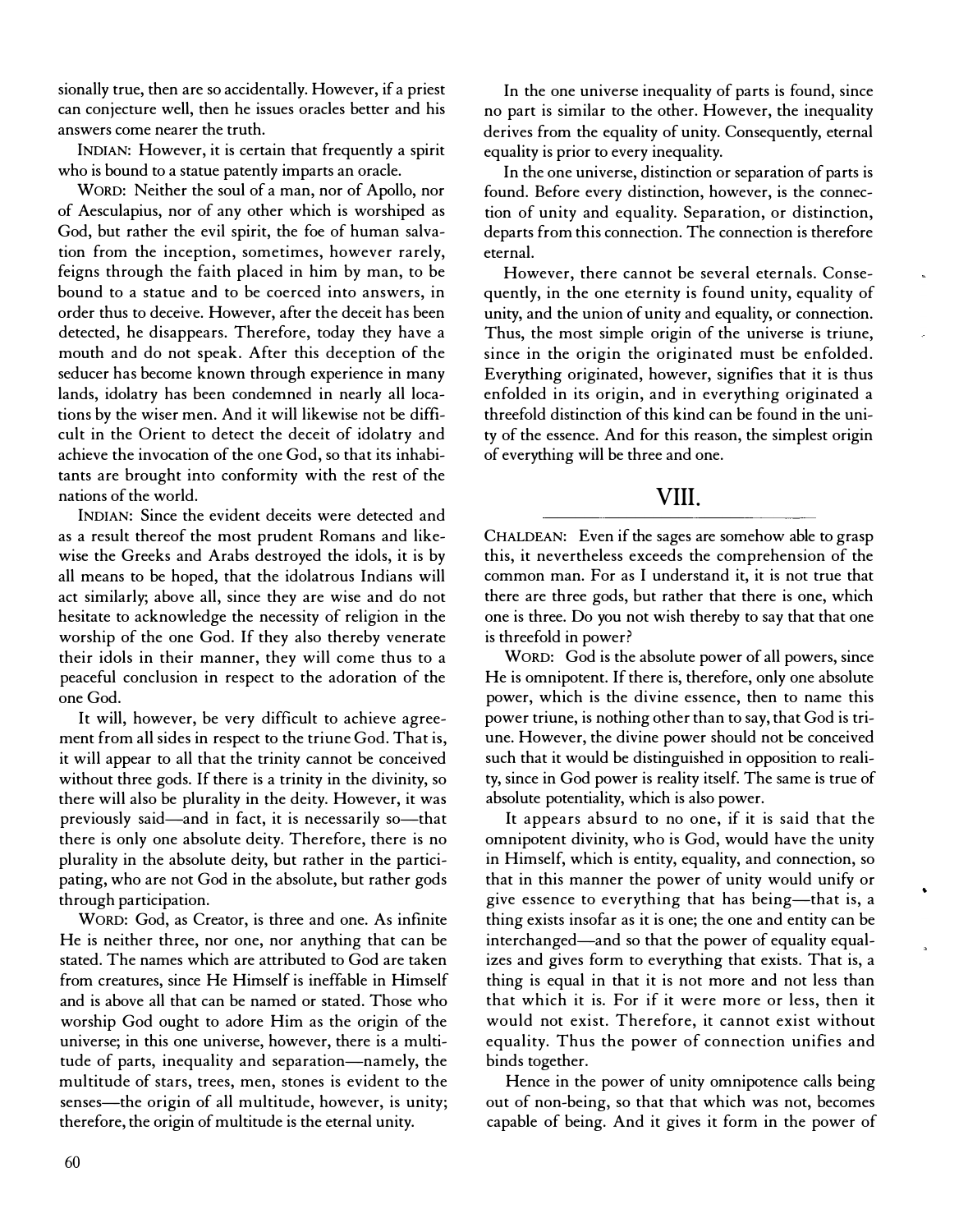sionally true, then are so accidentally. However, if a priest can conjecture well, then he issues oracles better and his answers come nearer the truth.

INDIAN: However, it is certain that frequently a spirit who is bound to a statue patently imparts an oracle.

WORD: Neither the soul of a man, nor of Apollo, nor of Aesculapius, nor of any other which is worshiped as God, but rather the evil spirit, the foe of human salvation from the inception, sometimes, however rarely, feigns through the faith placed in him by man, to be bound to a statue and to be coerced into answers, in order thus to deceive. However, after the deceit has been detected, he disappears. Therefore, today they have a mouth and do not speak. After this deception of the seducer has become known through experience in many lands, idolatry has been condemned in nearly all locations by the wiser men. And it will likewise not be difficult in the Orient to detect the deceit of idolatry and achieve the invocation of the one God, so that its inhabitants are brought into conformity with the rest of the nations of the world.

INDIAN: Since the evident deceits were detected and as a result thereof the most prudent Romans and likewise the Greeks and Arabs destroyed the idols, it is by all means to be hoped, that the idolatrous Indians will act similarly; above all, since they are wise and do not hesitate to acknowledge the necessity of religion in the worship of the one God. If they also thereby venerate their idols in their manner, they will come thus to a peaceful conclusion in respect to the adoration of the one God.

It will, however, be very difficult to achieve agreement from all sides in respect to the triune God. That is, it will appear to all that the trinity cannot be conceived without three gods. If there is a trinity in the divinity, so there will also be plurality in the deity. However, it was previously said—and in fact, it is necessarily so—that there is only one absolute deity. Therefore, there is no plurality in the absolute deity, but rather in the participating, who are not God in the absolute, but rather gods through participation.

WORD: God, as Creator, is three and one. As infinite He is neither three, nor one, nor anything that can be stated. The names which are attributed to God are taken from creatures, since He Himself is ineffable in Himself and is above all that can be named or stated. Those who worship God ought to adore Him as the origin of the universe; in this one universe, however, there is a multitude of parts, inequality and separation-namely, the multitude of stars, trees, men, stones is evident to the senses-the origin of all multitude, however, is unity; therefore, the origin of multitude is the eternal unity.

In the one universe inequality of parts is found, since no part is similar to the other. However, the inequality derives from the equality of unity. Consequently, eternal equality is prior to every inequality.

In the one universe, distinction or separation of parts is found. Before every distinction, however, is the connection of unity and equality. Separation, or distinction, departs from this connection. The connection is therefore eternal.

However, there cannot be several eternals. Consequently, in the one eternity is found unity, equality of unity, and the union of unity and equality, or connection. Thus, the most simple origin of the universe is triune, since in the origin the originated must be enfolded. Everything originated, however, signifies that it is thus enfolded in its origin, and in everything originated a threefold distinction of this kind can be found in the unity of the essence. And for this reason, the simplest origin of everything will be three and one.

### VIII.

CHALDEAN: Even if the sages are somehow able to grasp this, it nevertheless exceeds the comprehension of the common man. For as I understand it, it is not true that there are three gods, but rather that there is one, which one is three. Do you not wish thereby to say that that one is threefold in power?

WORD: God is the absolute power of all powers, since He is omnipotent. If there is, therefore, only one absolute power, which is the divine essence, then to name this power triune, is nothing other than to say, that God is triune. However, the divine power should not be conceived such that it would be distinguished in opposition to reality, since in God power is reality itself. The same is true of absolute potentiality, which is also power.

It appears absurd to no one, if it is said that the omnipotent divinity, who is God, would have the unity in Himself, which is entity, equality, and connection, so that in this manner the power of unity would unify or give essence to everything that has being—that is, a thing exists insofar as it is one; the one and entity can be interchanged-and so that the power of equality equalizes and gives form to everything that exists. That is, a thing is equal in that it is not more and not less than that which it is. For if it were more or less, then it would not exist. Therefore, it cannot exist without equality. Thus the power of connection unifies and binds together.

Hence in the power of unity omnipotence calls being out of non-being, so that that which was not, becomes capable of being. And it gives it form in the power of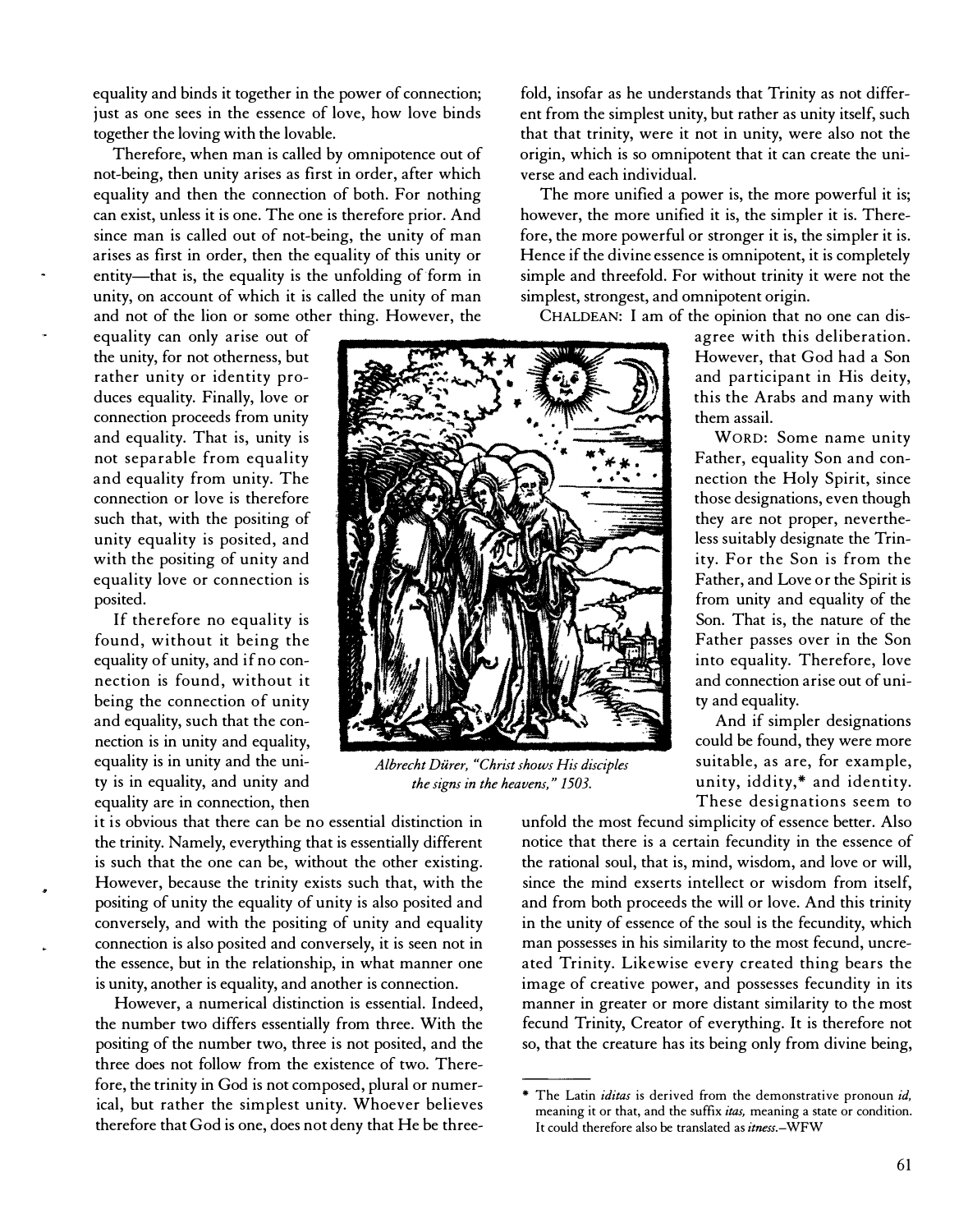equality and binds it together in the power of connection; just as one sees in the essence of love, how love binds together the loving with the lovable.

Therefore, when man is called by omnipotence out of not-being, then unity arises as first in order, after which equality and then the connection of both. For nothing can exist, unless it is one. The one is therefore prior. And since man is called out of not-being, the unity of man arises as first in order, then the equality of this unity or entity-that is, the equality is the unfolding of form in unity, on account of which it is called the unity of man and not of the lion or some other thing. However, the

equality can only arise out of the unity, for not otherness, but rather unity or identity produces equality. Finally, love or connection proceeds from unity and equality. That is, unity is not separable from equality and equality from unity. The connection or love is therefore such that, with the positing of unity equality is posited, and with the positing of unity and equality love or connection is posited.

If therefore no equality is found, without it being the equality of unity, and if no connection is found, without it being the connection of unity and equality, such that the connection is in unity and equality, equality is in unity and the unity is in equality, and unity and equality are in connection, then

it is obvious that there can be no essential distinction in the trinity. Namely, everything that is essentially different is such that the one can be, without the other existing. However, because the trinity exists such that, with the positing of unity the equality of unity is also posited and conversely, and with the positing of unity and equality connection is also posited and conversely, it is seen not in the essence, but in the relationship, in what manner one is unity, another is equality, and another is connection.

However, a numerical distinction is essential. Indeed, the number two differs essentially from three. With the positing of the number two, three is not posited, and the three does not follow from the existence of two. Therefore, the trinity in God is not composed, plural or numerical, but rather the simplest unity. Whoever believes therefore that God is one, does not deny that He be threefold, insofar as he understands that Trinity as not different from the simplest unity, but rather as unity itself, such that that trinity, were it not in unity, were also not the origin, which is so omnipotent that it can create the universe and each individual.

The more unified a power is, the more powerful it is; however, the more unified it is, the simpler it is. Therefore, the more powerful or stronger it is, the simpler it is. Hence if the divine essence is omnipotent, it is completely simple and threefold. For without trinity it were not the simplest, strongest, and omnipotent origin.

CHALDEAN: I am of the opinion that no one can dis-

agree with this deliberation. However, that God had a Son and participant in His deity, this the Arabs and many with them assail.

WORD: Some name unity Father, equality Son and connection the Holy Spirit, since those designations, even though they are not proper, nevertheless suitably designate the Trinity. For the Son is from the Father, and Love or the Spirit is from unity and equality of the Son. That is, the nature of the Father passes over in the Son into equality. Therefore, love and connection arise out of unity and equality.

And if simpler designations could be found, they were more suitable, as are, for example, unity, iddity,\* and identity. These designations seem to

unfold the most fecund simplicity of essence better. Also notice that there is a certain fecundity in the essence of the rational soul, that is, mind, wisdom, and love or will, since the mind exserts intellect or wisdom from itself, and from both proceeds the will or love. And this trinity in the unity of essence of the soul is the fecundity, which man possesses in his similarity to the most fecund, uncreated Trinity. Likewise every created thing bears the image of creative power, and possesses fecundity in its manner in greater or more distant similarity to the most fecund Trinity, Creator of everything. It is therefore not so, that the creature has its being only from divine being,



<sup>\*</sup> The Latin *iditas* is derived from the demonstrative pronoun id, meaning it or that, and the suffix *itas*, meaning a state or condition. It could therefore also be translated as *itness*.-WFW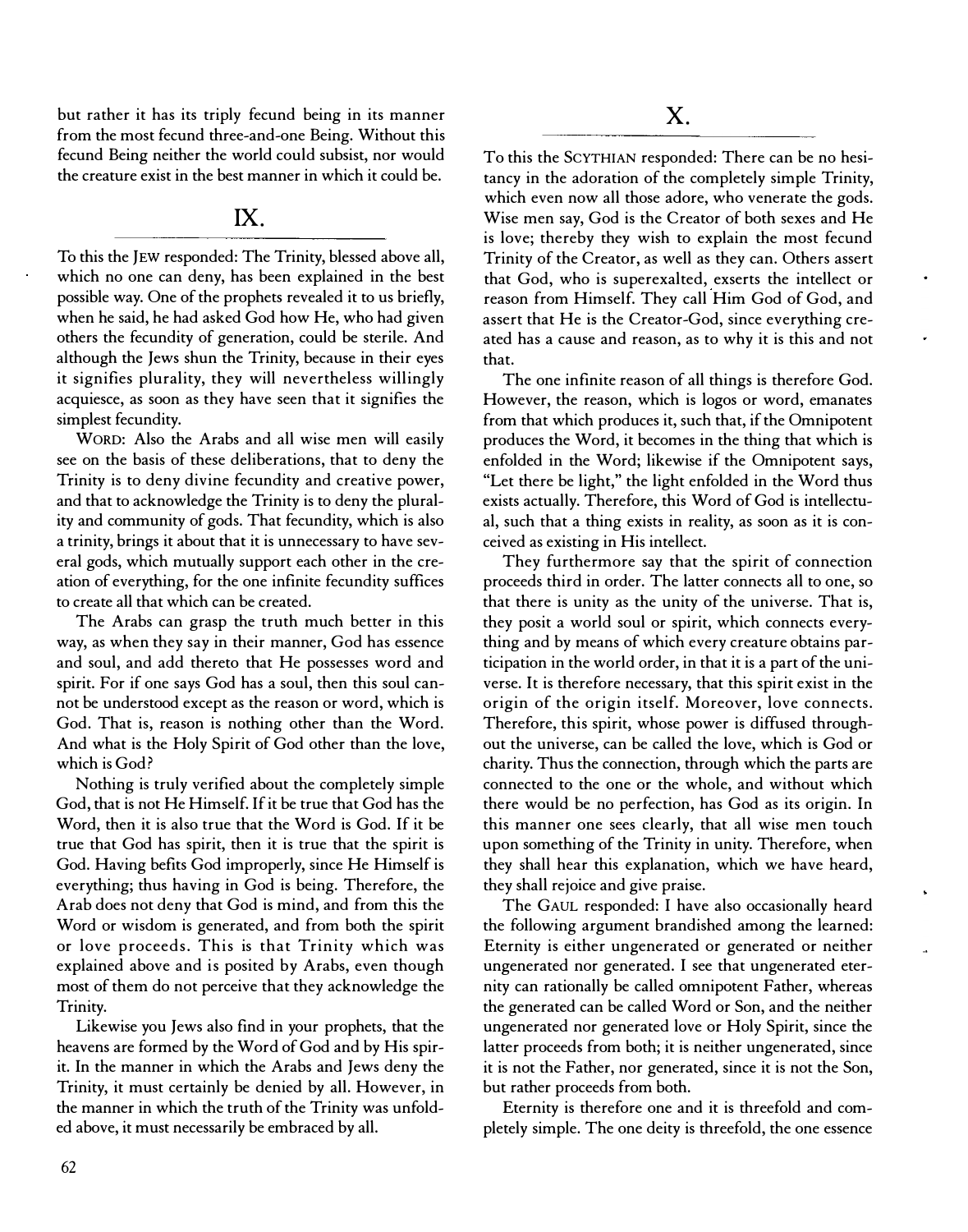but rather it has its triply fecund being in its manner from the most fecund three-and-one Being. Without this fecund Being neither the world could subsist, nor would the creature exist in the best manner in which it could be.

#### IX.

To this the JEW responded: The Trinity, blessed above all, which no one can deny, has been explained in the best possible way. One of the prophets revealed it to us briefly, when he said, he had asked God how He, who had given others the fecundity of generation, could be sterile. And although the Jews shun the Trinity, because in their eyes it signifies plurality, they will nevertheless willingly acquiesce, as soon as they have seen that it signifies the simplest fecundity.

WORD: Also the Arabs and all wise men will easily see on the basis of these deliberations, that to deny the Trinity is to deny divine fecundity and creative power, and that to acknowledge the Trinity is to deny the plurality and community of gods. That fecundity, which is also a trinity, brings it about that it is unnecessary to have several gods, which mutually support each other in the creation of everything, for the one infinite fecundity suffices to create all that which can be created.

The Arabs can grasp the truth much better in this way, as when they say in their manner, God has essence and soul, and add thereto that He possesses word and spirit. For if one says God has a soul, then this soul cannot be understood except as the reason or word, which is God. That is, reason is nothing other than the Word. And what is the Holy Spirit of God other than the love, which is God?

Nothing is truly verified about the completely simple God, that is not He Himself. If it be true that God has the Word, then it is also true that the Word is God. If it be true that God has spirit, then it is true that the spirit is God. Having befits God improperly, since He Himself is everything; thus having in God is being. Therefore, the Arab does not deny that God is mind, and from this the Word or wisdom is generated, and from both the spirit or love proceeds. This is that Trinity which was explained above and is posited by Arabs, even though most of them do not perceive that they acknowledge the Trinity.

Likewise you Jews also find in your prophets, that the heavens are formed by the Word of God and by His spirit. In the manner in which the Arabs and Jews deny the Trinity, it must certainly be denied by all. However, in the manner in which the truth of the Trinity was unfolded above, it must necessarily be embraced by all.

X.

To this the SCYTHIAN responded: There can be no hesitancy in the adoration of the completely simple Trinity, which even now all those adore, who venerate the gods. Wise men say, God is the Creator of both sexes and He is love; thereby they wish to explain the most fecund Trinity of the Creator, as well as they can. Others assert that God, who is superexalted, exserts the intellect or reason from Himself. They call Him God of God, and assert that He is the Creator-God, since everything created has a cause and reason, as to why it is this and not that.

The one infinite reason of all things is therefore God. However, the reason, which is logos or word, emanates from that which produces it, such that, if the Omnipotent produces the Word, it becomes in the thing that which is enfolded in the Word; likewise if the Omnipotent says, "Let there be light," the light enfolded in the Word thus exists actually. Therefore, this Word of God is intellectual, such that a thing exists in reality, as soon as it is conceived as existing in His intellect.

They furthermore say that the spirit of connection proceeds third in order. The latter connects all to one, so that there is unity as the unity of the universe. That is, they posit a world soul or spirit, which connects everything and by means of which every creature obtains participation in the world order, in that it is a part of the universe. It is therefore necessary, that this spirit exist in the origin of the origin itself. Moreover, love connects. Therefore, this spirit, whose power is diffused throughout the universe, can be called the love, which is God or charity. Thus the connection, through which the parts are connected to the one or the whole, and without which there would be no perfection, has God as its origin. In this manner one sees clearly, that all wise men touch upon something of the Trinity in unity. Therefore, when they shall hear this explanation, which we have heard, they shall rejoice and give praise.

The GAUL responded: I have also occasionally heard the following argument brandished among the learned: Eternity is either ungenerated or generated or neither ungenerated nor generated. I see that ungenerated eternity can rationally be called omnipotent Father, whereas the generated can be called Word or Son, and the neither ungenerated nor generated love or Holy Spirit, since the latter proceeds from both; it is neither ungenerated, since it is not the Father, nor generated, since it is not the Son, but rather proceeds from both.

Eternity is therefore one and it is threefold and completely simple. The one deity is threefold, the one essence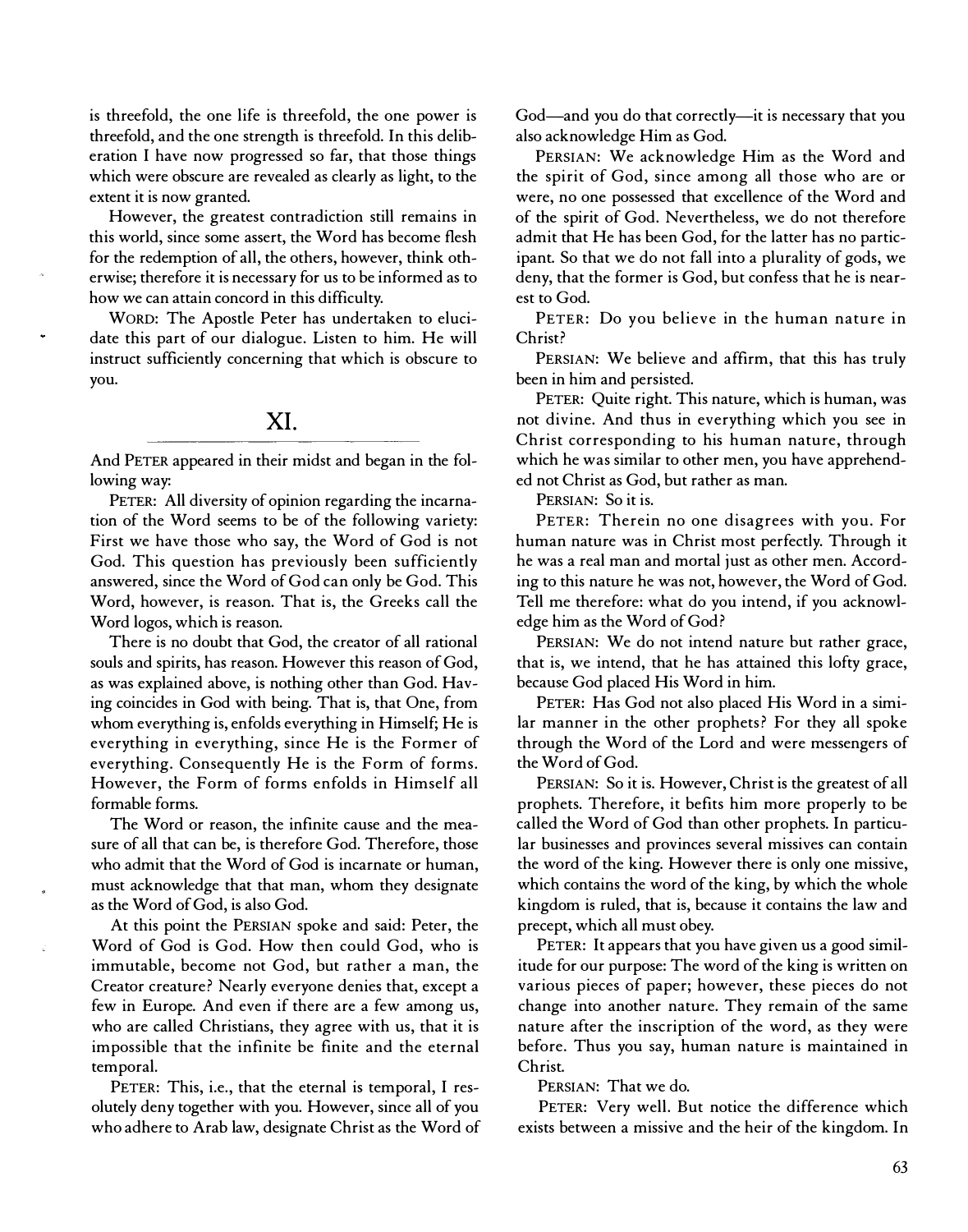is threefold, the one life is threefold, the one power is threefold, and the one strength is threefold. In this deliberation I have now progressed so far, that those things which were obscure are revealed as clearly as light, to the extent it is now granted.

However, the greatest contradiction still remains in this world, since some assert, the Word has become flesh for the redemption of all, the others, however, think otherwise; therefore it is necessary for us to be informed as to how we can attain concord in this difficulty.

WORD: The Apostle Peter has undertaken to elucidate this part of our dialogue. Listen to him. He will instruct sufficiently concerning that which is obscure to you.

### XI.

And PETER appeared in their midst and began in the following way:

PETER: All diversity of opinion regarding the incarnation of the Word seems to be of the following variety: First we have those who say, the Word of God is not God. This question has previously been sufficiently answered, since the Word of God can only be God. This Word, however, is reason. That is, the Greeks call the Word logos, which is reason.

There is no doubt that God, the creator of all rational souls and spirits, has reason. However this reason of God, as was explained above, is nothing other than God. Having coincides in God with being. That is, that One, from whom everything is, enfolds everything in Himself; He is everything in everything, since He is the Former of everything. Consequently He is the Form of forms. However, the Form of forms enfolds in Himself all formable forms.

The Word or reason, the infinite cause and the measure of all that can be, is therefore God. Therefore, those who admit that the Word of God is incarnate or human, must acknowledge that that man, whom they designate as the Word of God, is also God.

At this point the PERSIAN spoke and said: Peter, the Word of God is God. How then could God, who is immutable, become not God, but rather a man, the Creator creature? Nearly everyone denies that, except a few in Europe. And even if there are a few among us, who are called Christians, they agree with us, that it is impossible that the infinite be finite and the eternal temporal.

PETER: This, i.e., that the eternal is temporal, I resolutely deny together with you. However, since all of you who adhere to Arab law, designate Christ as the Word of God—and you do that correctly—it is necessary that you also acknowledge Him as God.

PERSIAN: We acknowledge Him as the Word and the spirit of God, since among all those who are or were, no one possessed that excellence of the Word and of the spirit of God. Nevertheless, we do not therefore admit that He has been God, for the latter has no participant. So that we do not fall into a plurality of gods, we deny, that the former is God, but confess that he is nearest to God.

PETER: Do you believe in the human nature in Christ?

PERSIAN: We believe and affirm, that this has truly been in him and persisted.

PETER: Quite right. This nature, which is human, was not divine. And thus in everything which you see in Christ corresponding to his human nature, through which he was similar to other men, you have apprehended not Christ as God, but rather as man.

PERSIAN: So it is.

PETER: Therein no one disagrees with you. For human nature was in Christ most perfectly. Through it he was a real man and mortal just as other men. According to this nature he was not, however, the Word of God. Tell me therefore: what do you intend, if you acknowledge him as the Word of God?

PERSIAN: We do not intend nature but rather grace, that is, we intend, that he has attained this lofty grace, because God placed His Word in him.

PETER: Has God not also placed His Word in a similar manner in the other prophets? For they all spoke through the Word of the Lord and were messengers of the Word of God.

PERSIAN: So it is. However, Christ is the greatest of all prophets. Therefore, it befits him more properly to be called the Word of God than other prophets. In particular businesses and provinces several missives can contain the word of the king. However there is only one missive, which contains the word of the king, by which the whole kingdom is ruled, that is, because it contains the law and precept, which all must obey.

PETER: It appears that you have given us a good similitude for our purpose: The word of the king is written on various pieces of paper; however, these pieces do not change into another nature. They remain of the same nature after the inscription of the word, as they were before. Thus you say, human nature is maintained in Christ.

PERSIAN: That we do.

PETER: Very well. But notice the difference which exists between a missive and the heir of the kingdom. In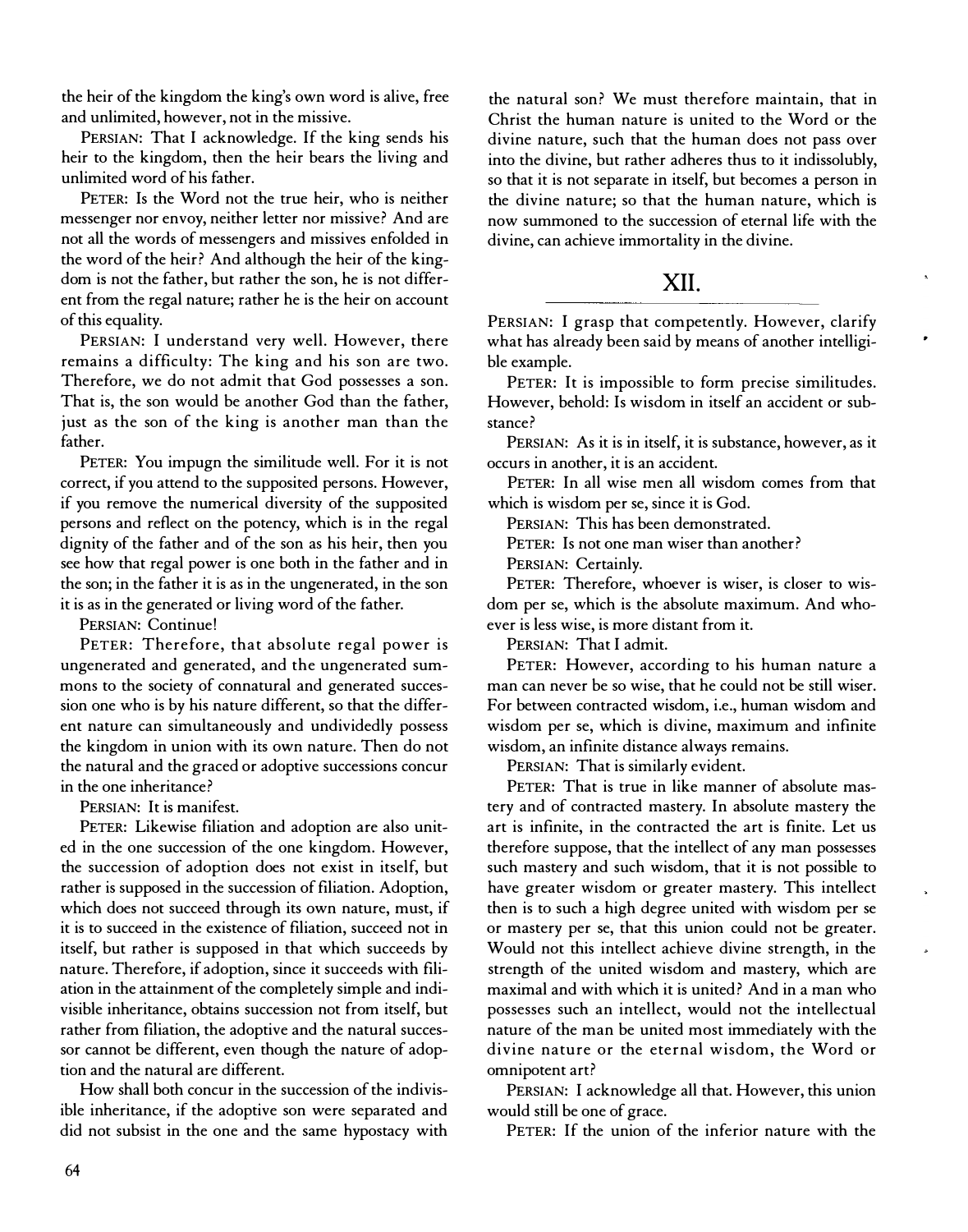the heir of the kingdom the king's own word is alive, free and unlimited, however, not in the missive.

PERSIAN: That I acknowledge. If the king sends his heir to the kingdom, then the heir bears the living and unlimited word of his father.

PETER: Is the Word not the true heir, who is neither messenger nor envoy, neither letter nor missive? And are not all the words of messengers and missives enfolded in the word of the heir? And although the heir of the kingdom is not the father, but rather the son, he is not different from the regal nature; rather he is the heir on account of this equality.

PERSIAN: I understand very well. However, there remains a difficulty: The king and his son are two. Therefore, we do not admit that God possesses a son. That is, the son would be another God than the father, just as the son of the king is another man than the father.

PETER: You impugn the similitude well. For it is not correct, if you attend to the supposited persons. However, if you remove the numerical diversity of the supposited persons and reflect on the potency, which is in the regal dignity of the father and of the son as his heir, then you see how that regal power is one both in the father and in the son; in the father it is as in the ungenerated, in the son it is as in the generated or living word of the father.

PERSIAN: Continue!

PETER: Therefore, that absolute regal power is ungenerated and generated, and the ungenerated summons to the society of connatural and generated succession one who is by his nature different, so that the different nature can simultaneously and undividedly possess the kingdom in union with its own nature. Then do not the natural and the graced or adoptive successions concur in the one inheritance?

PERSIAN: It is manifest.

PETER: Likewise filiation and adoption are also united in the one succession of the one kingdom. However, the succession of adoption does not exist in itself, but rather is supposed in the succession of filiation. Adoption, which does not succeed through its own nature, must, if it is to succeed in the existence of filiation, succeed not in itself, but rather is supposed in that which succeeds by nature. Therefore, if adoption, since it succeeds with filiation in the attainment of the completely simple and indivisible inheritance, obtains succession not from itself, but rather from filiation, the adoptive and the natural successor cannot be different, even though the nature of adoption and the natural are different.

How shall both concur in the succession of the indivisible inheritance, if the adoptive son were separated and did not subsist in the one and the same hypostacy with

the natural son? We must therefore maintain, that in Christ the human nature is united to the Word or the divine nature, such that the human does not pass over into the divine, but rather adheres thus to it indissolubly, so that it is not separate in itself, but becomes a person in the divine nature; so that the human nature, which is now summoned to the succession of eternal life with the divine, can achieve immortality in the divine.

## XII.

PERSIAN: I grasp that competently. However, clarify what has already been said by means of another intelligible example.

PETER: It is impossible to form precise similitudes. However, behold: Is wisdom in itself an accident or substance?

PERSIAN: As it is in itself, it is substance, however, as it occurs in another, it is an accident.

PETER: In all wise men all wisdom comes from that which is wisdom per se, since it is God.

PERSIAN: This has been demonstrated.

PETER: Is not one man wiser than another?

PERSIAN: Certainly.

PETER: Therefore, whoever is wiser, is closer to wisdom per se, which is the absolute maximum. And whoever is less wise, is more distant from it.

PERSIAN: That I admit.

PETER: However, according to his human nature a man can never be so wise, that he could not be still wiser. For between contracted wisdom, i.e., human wisdom and wisdom per se, which is divine, maximum and infinite wisdom, an infinite distance always remains.

PERSIAN: That is similarly evident.

PETER: That is true in like manner of absolute mastery and of contracted mastery. In absolute mastery the art is infinite, in the contracted the art is finite. Let us therefore suppose, that the intellect of any man possesses such mastery and such wisdom, that it is not possible to have greater wisdom or greater mastery. This intellect then is to such a high degree united with wisdom per se or mastery per se, that this union could not be greater. Would not this intellect achieve divine strength, in the strength of the united wisdom and mastery, which are maximal and with which it is united? And in a man who possesses such an intellect, would not the intellectual nature of the man be united most immediately with the divine nature or the eternal wisdom, the Word or omnipotent art?

PERSIAN: I acknowledge all that. However, this union would still be one of grace.

PETER: If the union of the inferior nature with the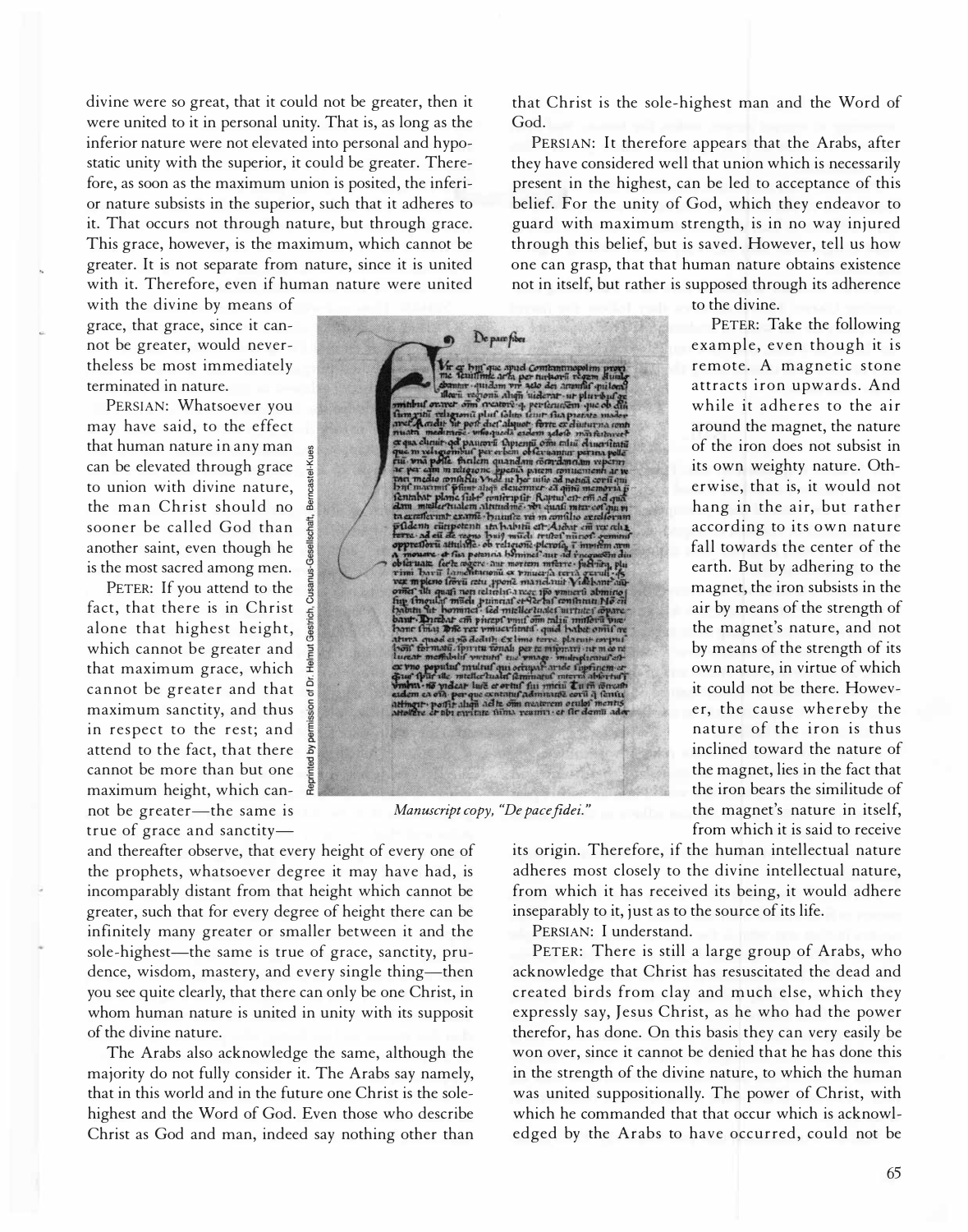divine were so great, that it could not be greater, then it were united to it in personal unity. That is, as long as the inferior nature were not elevated into personal and hypostatic unity with the superior, it could be greater. Therefore, as soon as the maximum union is posited, the inferior nature subsists in the superior, such that it adheres to it. That occurs not through nature, but through grace. This grace, however, is the maximum, which cannot be greater. It is not separate from nature, since it is united with it. Therefore, even if human nature were united

E

with the divine by means of grace, that grace, since it cannot be greater, would nevertheless be most immediately terminated in nature.

PERSIAN: Whatsoever you may have said, to the effect that human nature in any man can be elevated through grace to union with divine nature, the man Christ should no sooner be called God than another saint, even though he is the most sacred among men.

PETER: If you attend to the fact, that there is in Christ alone that highest height, which cannot be greater and that maximum grace, which cannot be greater and that maximum sanctity, and thus in respect to the rest; and attend to the fact, that there cannot be more than but one maximum height, which cannot be greater-the same is true of grace and sanctity-

and thereafter observe, that every height of every one of the prophets, whatsoever degree it may have had, is incomparably distant from that height which cannot be greater, such that for every degree of height there can be infinitely many greater or smaller between it and the sole-highest-the same is true of grace, sanctity, prudence, wisdom, mastery, and every single thing-then you see quite clearly, that there can only be one Christ, in whom human nature is united in unity with its supposit of the divine nature.

The Arabs also acknowledge the same, although the majority do not fully consider it. The Arabs say namely, that in this world and in the future one Christ is the solehighest and the Word of God. Even those who describe Christ as God and man, indeed say nothing other than

that Christ is the sole-highest man and the Word of God.

PERSIAN: It therefore appears that the Arabs, after they have considered well that union which is necessarily present in the highest, can be led to acceptance of this belief. For the unity of God, which they endeavor to guard with maximum strength, is in no way injured through this belief, but is saved. However, tell us how one can grasp, that that human nature obtains existence not in itself, but rather is supposed through its adherence

to the divine.

PETER: Take the following example, even though it is remote. A magnetic stone attracts iron upwards. And while it adheres to the air around the magnet, the nature of the iron does not subsist in its own weighty nature. Otherwise, that is, it would not hang in the air, but rather according to its own nature fall towards the center of the earth. But by adhering to the magnet, the iron subsists in the air by means of the strength of the magnet's nature, and not by means of the strength of its own nature, in virtue of which it could not be there. However, the cause whereby the nature of the iron is thus inclined toward the nature of the magnet, lies in the fact that the iron bears the similitude of the magnet's nature in itself, from which it is said to receive

its origin. Therefore, if the human intellectual nature adheres most closely to the divine intellectual nature, from which it has received its being, it would adhere

inseparably to it, just as to the source of its life. PERSIAN: I understand.

PETER: There is still a large group of Arabs, who acknowledge that Christ has resuscitated the dead and created birds from clay and much else, which they expressly say, Jesus Christ, as he who had the power therefor, has done. On this basis they can very easily be won over, since it cannot be denied that he has done this in the strength of the divine nature, to which the human was united suppositionally. The power of Christ, with which he commanded that that occur which is acknowledged by the Arabs to have occurred, could not be

 $D$ e pare fu

Manuscript copy, "De pace fidei. "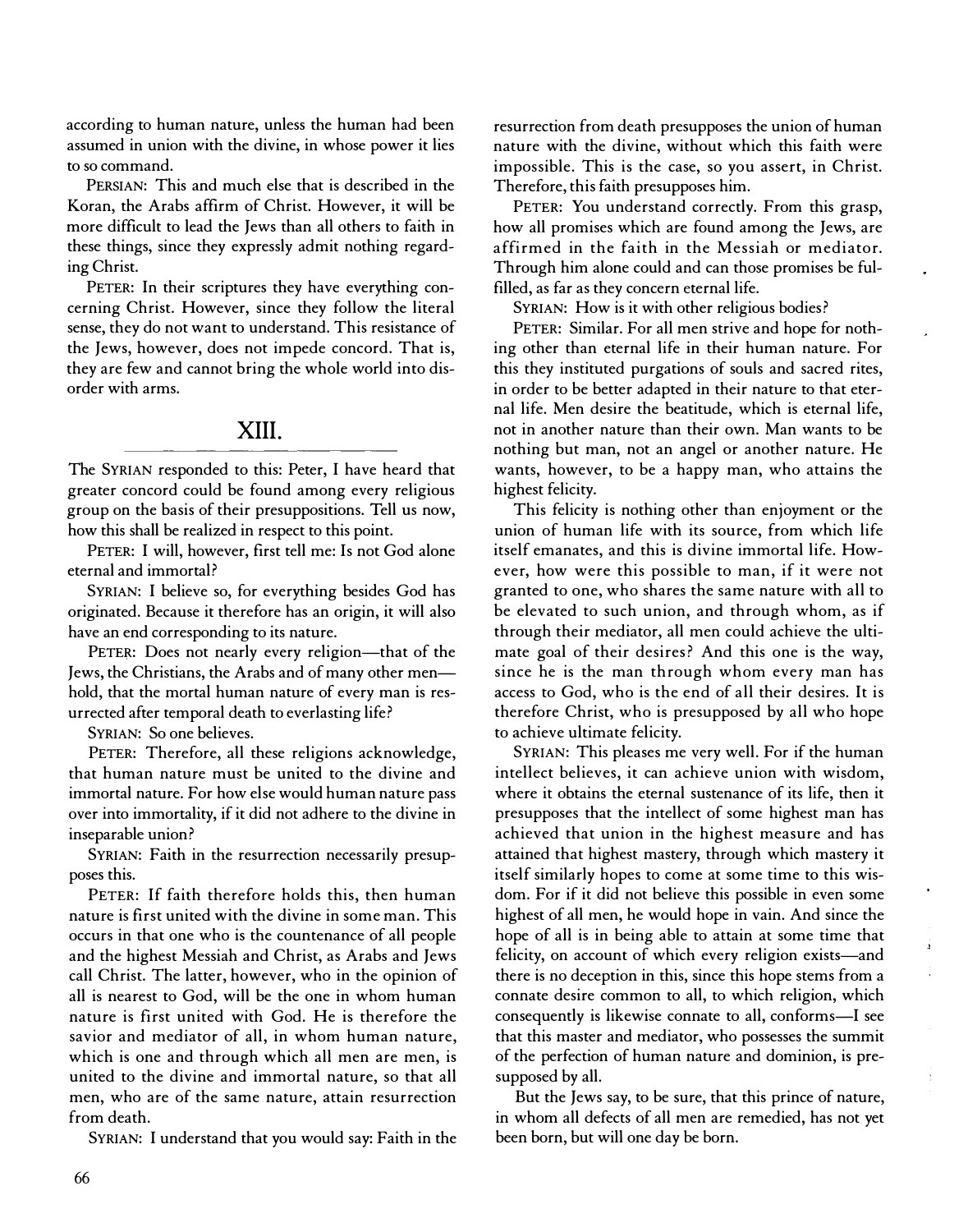according to human nature, unless the human had been assumed in union with the divine, in whose power it lies to so command.

PERSIAN: This and much else that is described in the Koran, the Arabs affirm of Christ. However, it will be more difficult to lead the Jews than all others to faith in these things, since they expressly admit nothing regardingChrist.

PETER: In their scriptures they have everything concerning Christ. However, since they follow the literal sense, they do not want to understand. This resistance of the Jews, however, does not impede concord. That is, they are few and cannot bring the whole world into disorder with arms.

### XIII.

The SYRIAN responded to this: Peter, I have heard that greater concord could be found among every religious group on the basis of their presuppositions. Tell us now, how this shall be realized in respect to this point.

PETER: I will, however, first tell me: Is not God alone eternal and immortal?

SYRIAN: I believe so, for everything besides God has originated. Because it therefore has an origin, it will also have an end corresponding to its nature.

PETER: Does not nearly every religion-that of the Jews, the Christians, the Arabs and of many other menhold, that the mortal human nature of every man is resurrected after temporal death to everlasting life?

SYRIAN: So one believes.

PETER: Therefore, all these religions acknowledge, that human nature must be united to the divine and immortal nature. For how else would human nature pass over into immortality, if it did not adhere to the divine in inseparable union?

SYRIAN: Faith in the resurrection necessarily presupposes this.

PETER: If faith therefore holds this, then human nature is first united with the divine in some man. This occurs in that one who is the countenance of all people and the highest Messiah and Christ, as Arabs and Jews call Christ. The latter, however, who in the opinion of all is nearest to God, will be the one in whom human nature is first united with God. He is therefore the savior and mediator of all, in whom human nature, which is one and through which all men are men, is united to the divine and immortal nature, so that all men, who are of the same nature, attain resurrection from death.

SYRIAN: I understand that you would say: Faith in the

resurrection from death presupposes the union of human nature with the divine, without which this faith were impossible. This is the case, so you assert, in Christ. Therefore, this faith presupposes him.

PETER: You understand correctly. From this grasp, how all promises which are found among the Jews, are affirmed in the faith in the Messiah or mediator. Through him alone could and can those promises be fulfilled, as far as they concern eternal life.

SYRIAN: How is it with other religious bodies?

PETER: Similar. For all men strive and hope for nothing other than eternal life in their human nature. For this they instituted purgations of souls and sacred rites, in order to be better adapted in their nature to that eternal life. Men desire the beatitude, which is eternal life, not in another nature than their own. Man wants to be nothing but man, not an angel or another nature. He wants, however, to be a happy man, who attains the highest felicity.

This felicity is nothing other than enjoyment or the union of human life with its source, from which life itself emanates, and this is divine immortal life. However, how were this possible to man, if it were not granted to one, who shares the same nature with all to be elevated to such union, and through whom, as if through their mediator, all men could achieve the ultimate goal of their desires? And this one is the way, since he is the man through whom every man has access to God, who is the end of all their desires. It is therefore Christ, who is presupposed by all who hope to achieve ultimate felicity.

SYRIAN: This pleases me very well. For if the human intellect believes, it can achieve union with wisdom, where it obtains the eternal sustenance of its life, then it presupposes that the intellect of some highest man has achieved that union in the highest measure and has attained that highest mastery, through which mastery it itself similarly hopes to come at some time to this wisdom. For if it did not believe this possible in even some highest of all men, he would hope in vain. And since the hope of all is in being able to attain at some time that felicity, on account of which every religion exists-and there is no deception in this, since this hope stems from a connate desire common to all, to which religion, which consequently is likewise connate to all, conforms-I see that this master and mediator, who possesses the summit of the perfection of human nature and dominion, is presupposed by all.

But the Jews say, to be sure, that this prince of nature, in whom all defects of all men are remedied, has not yet been born, but will one day be born.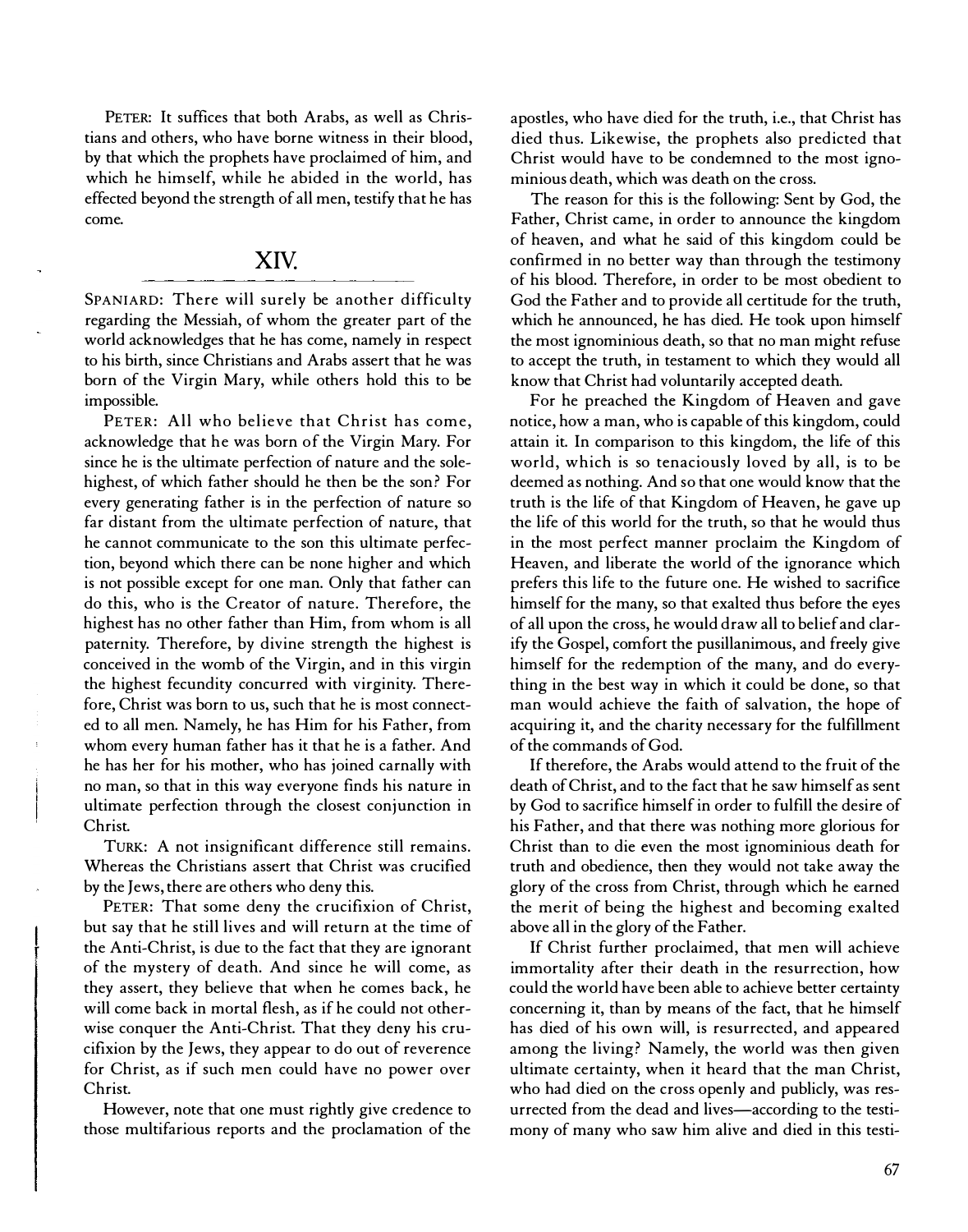PETER: It suffices that both Arabs, as well as Christians and others, who have borne witness in their blood, by that which the prophets have proclaimed of him, and which he himself, while he abided in the world, has effected beyond the strength of all men, testify that he has come.

### XlV.

SPANIARD: There will surely be another difficulty regarding the Messiah, of whom the greater part of the world acknowledges that he has come, namely in respect to his birth, since Christians and Arabs assert that he was born of the Virgin Mary, while others hold this to be impossible.

PETER: All who believe that Christ has come, acknowledge that he was born of the Virgin Mary. For since he is the ultimate perfection of nature and the solehighest, of which father should he then be the son? For every generating father is in the perfection of nature so far distant from the ultimate perfection of nature, that he cannot communicate to the son this ultimate perfection, beyond which there can be none higher and which is not possible except for one man. Only that father can do this, who is the Creator of nature. Therefore, the highest has no other father than Him, from whom is all paternity. Therefore, by divine strength the highest is conceived in the womb of the Virgin, and in this virgin the highest fecundity concurred with virginity. Therefore, Christ was born to us, such that he is most connected to all men. Namely, he has Him for his Father, from whom every human father has it that he is a father. And he has her for his mother, who has joined carnally with no man, so that in this way everyone finds his nature in ultimate perfection through the closest conjunction in Christ.

TURK: A not insignificant difference still remains. Whereas the Christians assert that Christ was crucified by the Jews, there are others who deny this.

PETER: That some deny the crucifixion of Christ, but say that he still lives and will return at the time of the Anti-Christ, is due to the fact that they are ignorant of the mystery of death. And since he will come, as they assert, they believe that when he comes back, he will come back in mortal flesh, as if he could not otherwise conquer the Anti-Christ. That they deny his crucifixion by the Jews, they appear to do out of reverence for Christ, as if such men could have no power over Christ.

However, note that one must rightly give credence to those multifarious reports and the proclamation of the

apostles, who have died for the truth, i.e., that Christ has died thus. Likewise, the prophets also predicted that Christ would have to be condemned to the most ignominious death, which was death on the cross.

The reason for this is the following: Sent by God, the Father, Christ came, in order to announce the kingdom of heaven, and what he said of this kingdom could be confirmed in no better way than through the testimony of his blood. Therefore, in order to be most obedient to God the Father and to provide all certitude for the truth, which he announced, he has died. He took upon himself the most ignominious death, so that no man might refuse to accept the truth, in testament to which they would all know that Christ had voluntarily accepted death.

For he preached the Kingdom of Heaven and gave notice, how a man, who is capable of this kingdom, could attain it. In comparison to this kingdom, the life of this world, which is so tenaciously loved by all, is to be deemed as nothing. And so that one would know that the truth is the life of that Kingdom of Heaven, he gave up the life of this world for the truth, so that he would thus in the most perfect manner proclaim the Kingdom of Heaven, and liberate the world of the ignorance which prefers this life to the future one. He wished to sacrifice himself for the many, so that exalted thus before the eyes of all upon the cross, he would draw all to belief and clarify the Gospel, comfort the pusillanimous, and freely give himself for the redemption of the many, and do everything in the best way in which it could be done, so that man would achieve the faith of salvation, the hope of acquiring it, and the charity necessary for the fulfillment of the commands of God.

If therefore, the Arabs would attend to the fruit of the death of Christ, and to the fact that he saw himself as sent by God to sacrifice himself in order to fulfill the desire of his Father, and that there was nothing more glorious for Christ than to die even the most ignominious death for truth and obedience, then they would not take away the glory of the cross from Christ, through which he earned the merit of being the highest and becoming exalted above all in the glory of the Father.

If Christ further proclaimed, that men will achieve immortality after their death in the resurrection, how could the world have been able to achieve better certainty concerning it, than by means of the fact, that he himself has died of his own will, is resurrected, and appeared among the living? Namely, the world was then given ultimate certainty, when it heard that the man Christ, who had died on the cross openly and publicly, was resurrected from the dead and lives-according to the testimony of many who saw him alive and died in this testi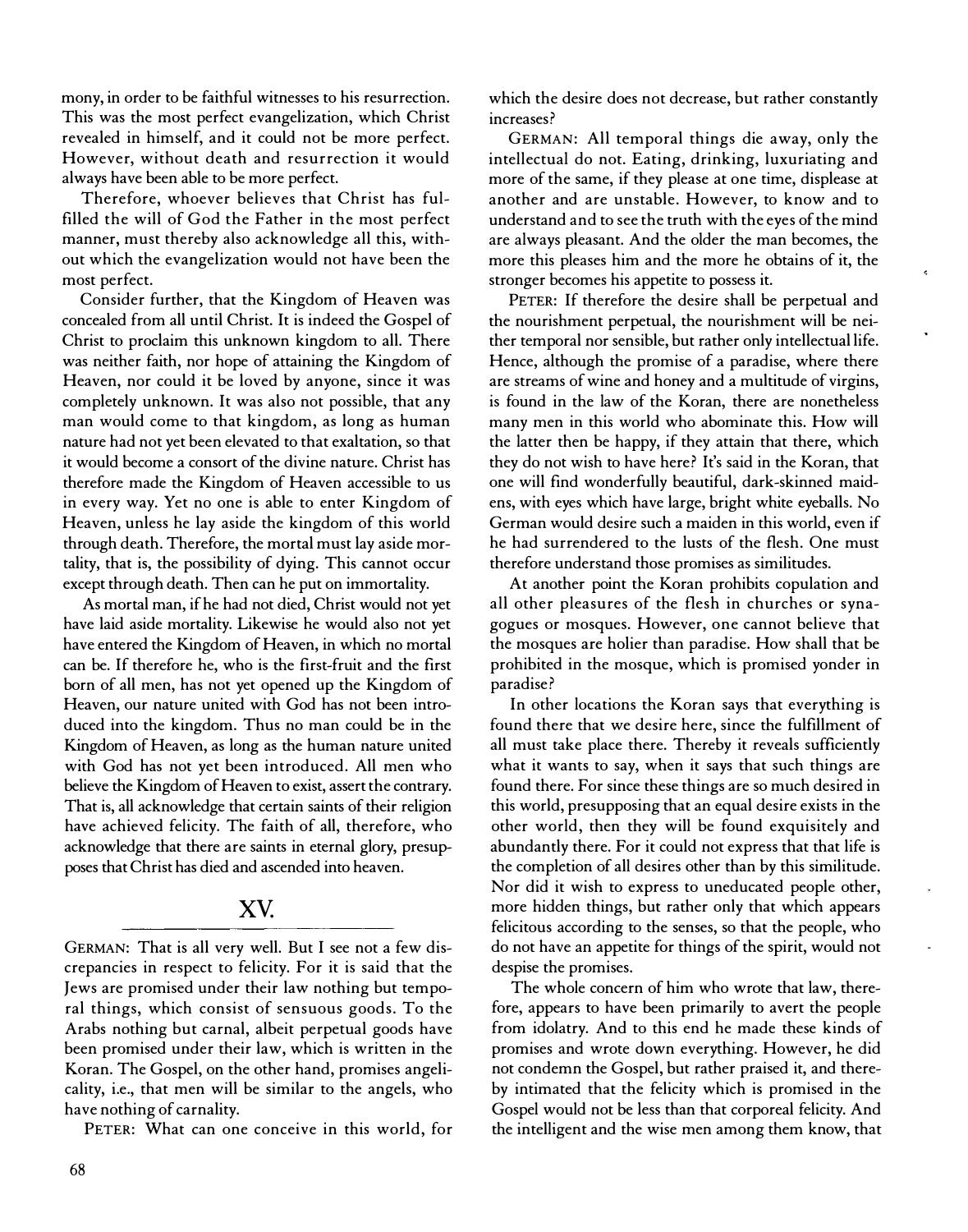mony, in order to be faithful witnesses to his resurrection. This was the most perfect evangelization, which Christ revealed in himself, and it could not be more perfect. However, without death and resurrection it would always have been able to be more perfect.

Therefore, whoever believes that Christ has fulfilled the will of God the Father in the most perfect manner, must thereby also acknowledge all this, without which the evangelization would not have been the most perfect.

Consider further, that the Kingdom of Heaven was concealed from all until Christ. It is indeed the Gospel of Christ to proclaim this unknown kingdom to all. There was neither faith, nor hope of attaining the Kingdom of Heaven, nor could it be loved by anyone, since it was completely unknown. It was also not possible, that any man would come to that kingdom, as long as human nature had not yet been elevated to that exaltation, so that it would become a consort of the divine nature. Christ has therefore made the Kingdom of Heaven accessible to us in every way. Yet no one is able to enter Kingdom of Heaven, unless he lay aside the kingdom of this world through death. Therefore, the mortal must lay aside mortality, that is, the possibility of dying. This cannot occur except through death. Then can he put on immortality.

As mortal man, if he had not died, Christ would not yet have laid aside mortality. Likewise he would also not yet have entered the Kingdom of Heaven, in which no mortal can be. If therefore he, who is the first-fruit and the first born of all men, has not yet opened up the Kingdom of Heaven, our nature united with God has not been introduced into the kingdom. Thus no man could be in the Kingdom of Heaven, as long as the human nature united with God has not yet been introduced. All men who believe the Kingdom of Heaven to exist, assert the contrary. That is, all acknowledge that certain saints of their religion have achieved felicity. The faith of all, therefore, who acknowledge that there are saints in eternal glory, presupposes that Christ has died and ascended into heaven.

### xv.

GERMAN: That is all very well. But I see not a few discrepancies in respect to felicity. For it is said that the Jews are promised under their law nothing but temporal things, which consist of sensuous goods. To the Arabs nothing but carnal, albeit perpetual goods have been promised under their law, which is written in the Koran. The Gospel, on the other hand, promises angelicality, i.e., that men will be similar to the angels, who have nothing of carnality.

PETER: What can one conceive in this world, for

which the desire does not decrease, but rather constantly increases?

GERMAN: All temporal things die away, only the intellectual do not. Eating, drinking, luxuriating and more of the same, if they please at one time, displease at another and are unstable. However, to know and to understand and to see the truth with the eyes of the mind are always pleasant. And the older the man becomes, the more this pleases him and the more he obtains of it, the stronger becomes his appetite to possess it.

PETER: If therefore the desire shall be perpetual and the nourishment perpetual, the nourishment will be neither temporal nor sensible, but rather only intellectual life. Hence, although the promise of a paradise, where there are streams of wine and honey and a multitude of virgins, is found in the law of the Koran, there are nonetheless many men in this world who abominate this. How will the latter then be happy, if they attain that there, which they do not wish to have here? It's said in the Koran, that one will find wonderfully beautiful, dark-skinned maidens, with eyes which have large, bright white eyeballs. No German would desire such a maiden in this world, even if he had surrendered to the lusts of the flesh. One must therefore understand those promises as similitudes.

At another point the Koran prohibits copulation and all other pleasures of the flesh in churches or synagogues or mosques. However, one cannot believe that the mosques are holier than paradise. How shall that be prohibited in the mosque, which is promised yonder in paradise?

In other locations the Koran says that everything is found there that we desire here, since the fulfillment of all must take place there. Thereby it reveals sufficiently what it wants to say, when it says that such things are found there. For since these things are so much desired in this world, presupposing that an equal desire exists in the other world, then they will be found exquisitely and abundantly there. For it could not express that that life is the completion of all desires other than by this similitude. Nor did it wish to express to uneducated people other, more hidden things, but rather only that which appears felicitous according to the senses, so that the people, who do not have an appetite for things of the spirit, would not despise the promises.

The whole concern of him who wrote that law, therefore, appears to have been primarily to avert the people from idolatry. And to this end he made these kinds of promises and wrote down everything. However, he did not condemn the Gospel, but rather praised it, and thereby intimated that the felicity which is promised in the Gospel would not be less than that corporeal felicity. And the intelligent and the wise men among them know, that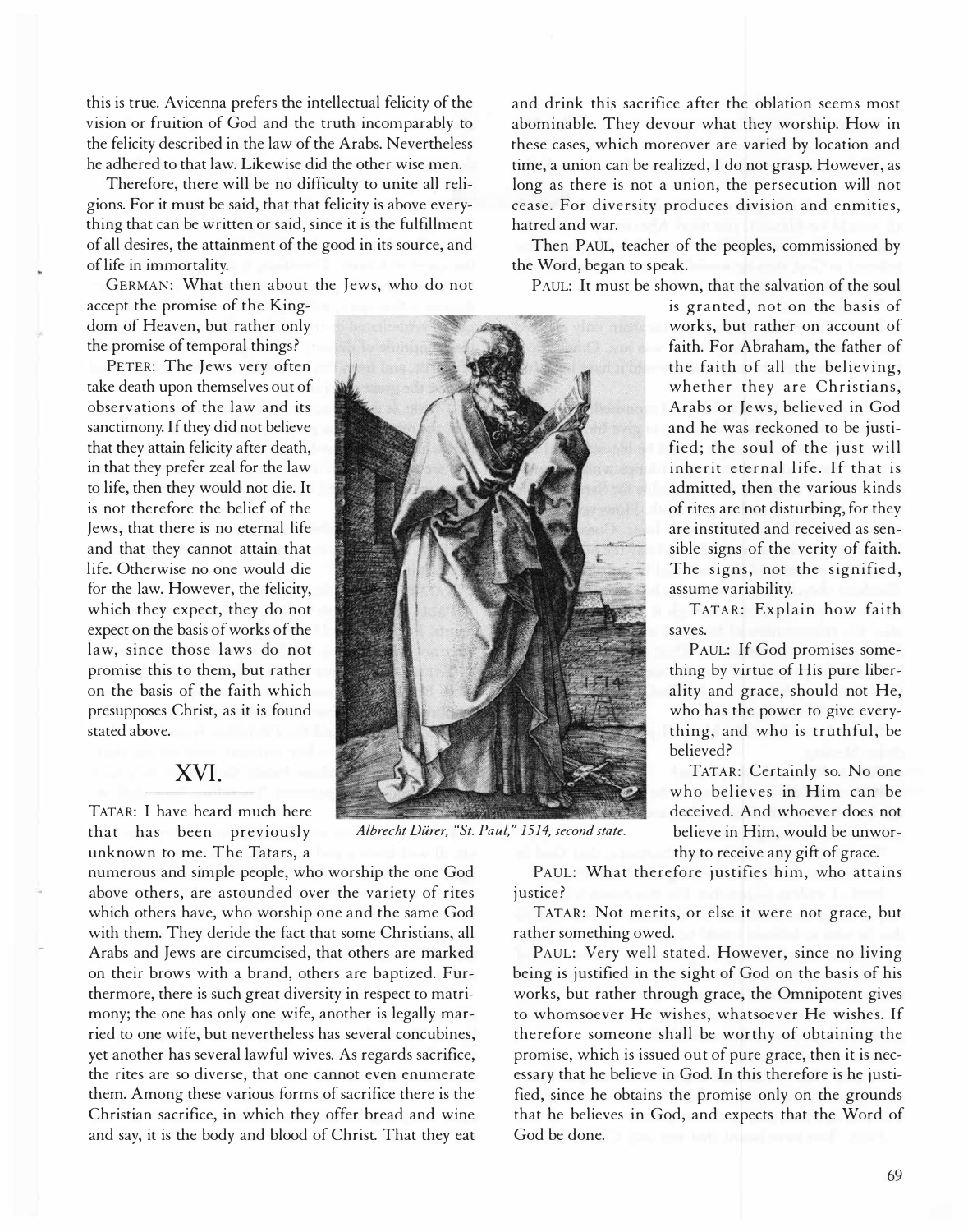this is true. Avicenna prefers the intellectual felicity of the vision or fruition of God and the truth incomparably to the felicity described in the law of the Arabs. Nevertheless he adhered to that law. Likewise did the other wise men.

Therefore, there will be no difficulty to unite all religions. For it must be said, that that felicity is above everything that can be written or said, since it is the fulfillment of all desires, the attainment of the good in its source, and of life in immortality.

GERMAN: What then about the Jews, who do not accept the promise of the King-

dom of Heaven, but rather only the promise of temporal things?

PETER: The Jews very often take death upon themselves out of observations of the law and its sanctimony. If they did not believe that they attain felicity after death, in that they prefer zeal for the law to life, then they would not die. It is not therefore the belief of the Jews, that there is no eternal life and that they cannot attain that life. Otherwise no one would die for the law. However, the felicity, which they expect, they do not expect on the basis of works of the law, since those laws do not promise this to them, but rather on the basis of the faith which presupposes Christ, as it is found stated above.

# XVI.

TATAR: I have heard much here that has been previously unknown to me. The Tatars, a

numerous and simple people, who worship the one God above others, are astounded over the variety of rites which others have, who worship one and the same God with them. They deride the fact that some Christians, all Arabs and Jews are circumcised, that others are marked on their brows with a brand, others are baptized. Furthermore, there is such great diversity in respect to matrimony; the one has only one wife, another is legally married to one wife, but nevertheless has several concubines, yet another has several lawful wives. As regards sacrifice, the rites are so diverse, that one cannot even enumerate them. Among these various forms of sacrifice there is the Christian sacrifice, in which they offer bread and wine and say, it is the body and blood of Christ. That they eat and drink this sacrifice after the oblation seems most abominable. They devour what they worship. How in these cases, which moreover are varied by location and time, a union can be realized, I do not grasp. However, as long as there is not a union, the persecution will not cease. For diversity produces division and enmities, hatred and war.

Then PAUL, teacher of the peoples, commissioned by the Word, began to speak.

PAUL: It must be shown, that the salvation of the soul

is granted, not on the basis of works, but rather on account of faith. For Abraham, the father of the faith of all the believing, whether they are Christians, Arabs or Jews, believed in God and he was reckoned to be justified; the soul of the just will inherit eternal life. If that is admitted, then the various kinds of rites are not disturbing, for they are instituted and received as sensible signs of the verity of faith. The signs, not the signified, assume variability.

TATAR: Explain how faith saves.

PAUL: If God promises something by virtue of His pure liberality and grace, should not He, who has the power to give everything, and who is truthful, be believed?

TATAR: Certainly so. No one who believes in Him can be deceived. And whoever does not believe in Him, would be unworthy to receive any gift of grace.

PAUL: What therefore justifies him, who attains justice?

TATAR: Not merits, or else it were not grace, but rather something owed.

PAUL: Very well stated. However, since no living being is justified in the sight of God on the basis of his works, but rather through grace, the Omnipotent gives to whomsoever He wishes, whatsoever He wishes. If therefore someone shall be worthy of obtaining the promise, which is issued out of pure grace, then it is necessary that he believe in God. In this therefore is he justified, since he obtains the promise only on the grounds that he believes in God, and expects that the Word of God be done.



Albrecht Dürer, "St. Paul," 1514, second state.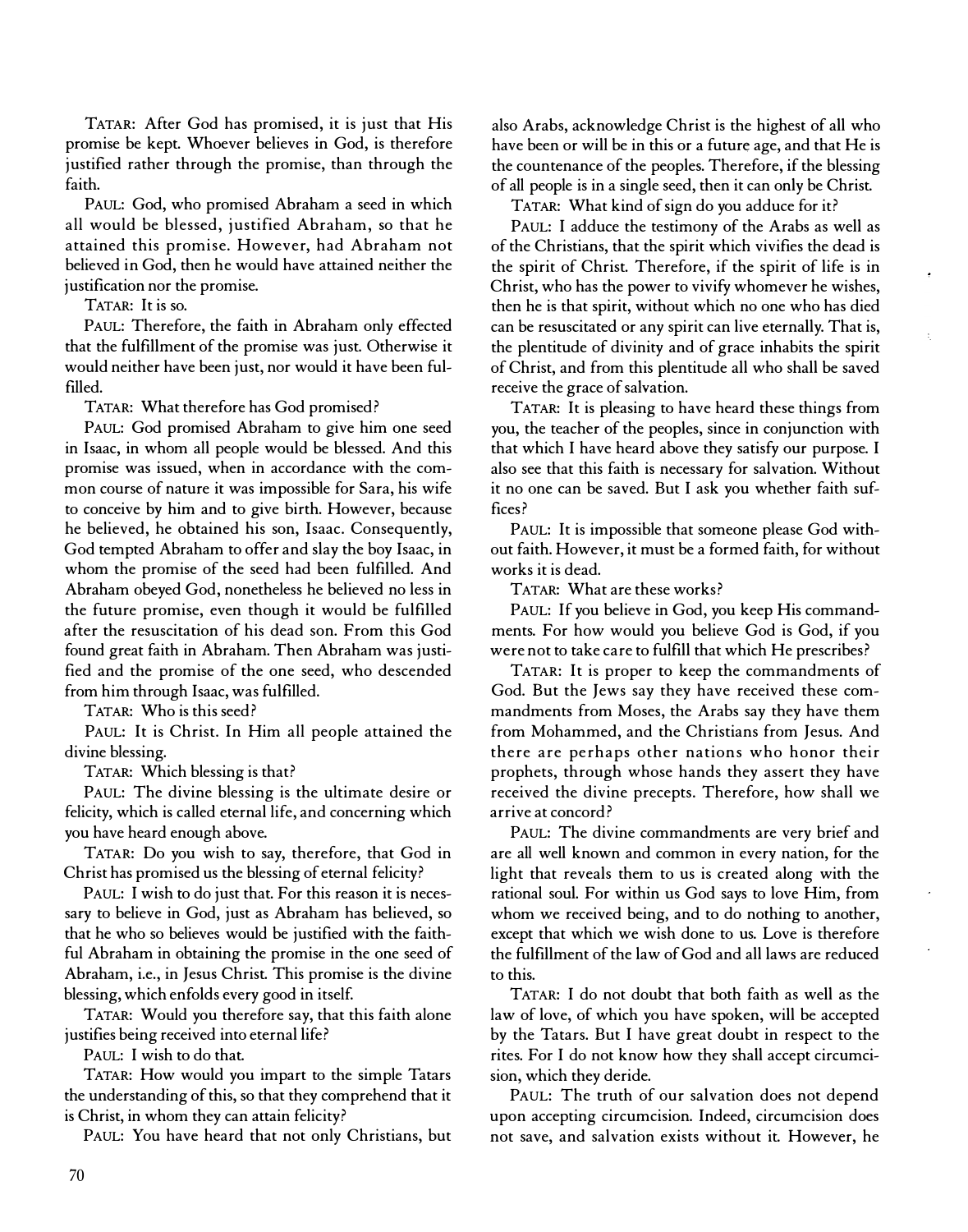TATAR: After God has promised, it is just that His promise be kept. Whoever believes in God, is therefore justified rather through the promise, than through the faith.

PAUL: God, who promised Abraham a seed in which all would be blessed, justified Abraham, so that he attained this promise. However, had Abraham not believed in God, then he would have attained neither the justification nor the promise.

TATAR: It is so.

PAUL: Therefore, the faith in Abraham only effected that the fulfillment of the promise was just. Otherwise it would neither have been just, nor would it have been fulfilled.

TATAR: What therefore has God promised?

PAUL: God promised Abraham to give him one seed in Isaac, in whom all people would be blessed. And this promise was issued, when in accordance with the common course of nature it was impossible for Sara, his wife to conceive by him and to give birth. However, because he believed, he obtained his son, Isaac. Consequently, God tempted Abraham to offer and slay the boy Isaac, in whom the promise of the seed had been fulfilled. And Abraham obeyed God, nonetheless he believed no less in the future promise, even though it would be fulfilled after the resuscitation of his dead son. From this God found great faith in Abraham. Then Abraham was justified and the promise of the one seed, who descended from him through Isaac, was fulfilled.

TATAR: Who is this seed?

PAUL: It is Christ. In Him all people attained the divine blessing.

TATAR: Which blessing is that?

PAUL: The divine blessing is the ultimate desire or felicity, which is called eternal life, and concerning which you have heard enough above.

TATAR: Do you wish to say, therefore, that God in Christ has promised us the blessing of eternal felicity?

PAUL: I wish to do just that. For this reason it is necessary to believe in God, just as Abraham has believed, so that he who so believes would be justified with the faithful Abraham in obtaining the promise in the one seed of Abraham, i.e., in Jesus Christ. This promise is the divine blessing, which enfolds every good in itself.

TATAR: Would you therefore say, that this faith alone justifies being received into eternal life?

PAUL: I wish to do that.

TATAR: How would you impart to the simple Tatars the understanding of this, so that they comprehend that it is Christ, in whom they can attain felicity?

PAUL: You have heard that not only Christians, but

also Arabs, acknowledge Christ is the highest of all who have been or will be in this or a future age, and that He is the countenance of the peoples. Therefore, if the blessing of all people is in a single seed, then it can only be Christ.

TATAR: What kind of sign do you adduce for it?

PAUL: I adduce the testimony of the Arabs as well as of the Christians, that the spirit which vivifies the dead is the spirit of Christ. Therefore, if the spirit of life is in Christ, who has the power to vivify whomever he wishes, then he is that spirit, without which no one who has died can be resuscitated or any spirit can live eternally. That is, the plentitude of divinity and of grace inhabits the spirit of Christ, and from this plentitude all who shall be saved receive the grace of salvation.

TATAR: It is pleasing to have heard these things from you, the teacher of the peoples, since in conjunction with that which I have heard above they satisfy our purpose. I also see that this faith is necessary for salvation. Without it no one can be saved. But I ask you whether faith suffices?

PAUL: It is impossible that someone please God without faith. However, it must be a formed faith, for without works it is dead.

TATAR: What are these works?

PAUL: If you believe in God, you keep His commandments. For how would you believe God is God, if you were not to take care to fulfill that which He prescribes?

TATAR: It is proper to keep the commandments of God. But the Jews say they have received these commandments from Moses, the Arabs say they have them from Mohammed, and the Christians from Jesus. And there are perhaps other nations who honor their prophets, through whose hands they assert they have received the divine precepts. Therefore, how shall we arrive at concord?

PAUL: The divine commandments are very brief and are all well known and common in every nation, for the light that reveals them to us is created along with the rational soul. For within us God says to love Him, from whom we received being, and to do nothing to another, except that which we wish done to us. Love is therefore the fulfillment of the law of God and all laws are reduced to this.

TATAR: I do not doubt that both faith as well as the law of love, of which you have spoken, will be accepted by the Tatars. But I have great doubt in respect to the rites. For I do not know how they shall accept circumcision, which they deride.

PAUL: The truth of our salvation does not depend upon accepting circumcision. Indeed, circumcision does not save, and salvation exists without it. However, he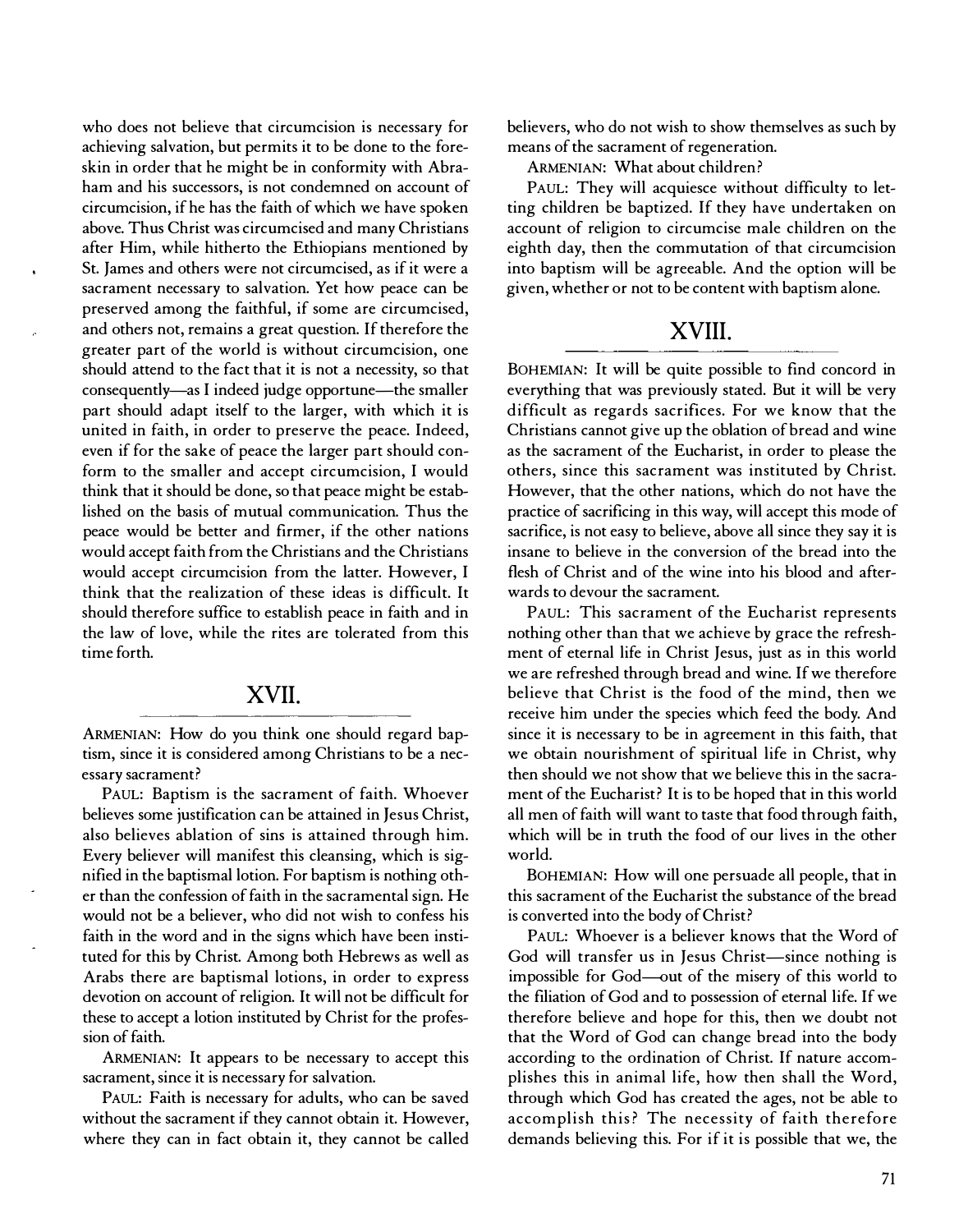who does not believe that circumcision is necessary for achieving salvation, but permits it to be done to the foreskin in order that he might be in conformity with Abraham and his successors, is not condemned on account of circumcision, if he has the faith of which we have spoken above. Thus Christ was circumcised and many Christians after Him, while hitherto the Ethiopians mentioned by St. James and others were not circumcised, as if it were a sacrament necessary to salvation. Yet how peace can be preserved among the faithful, if some are circumcised, and others not, remains a great question. If therefore the greater part of the world is without circumcision, one should attend to the fact that it is not a necessity, so that consequently-as I indeed judge opportune-the smaller part should adapt itself to the larger, with which it is united in faith, in order to preserve the peace. Indeed, even if for the sake of peace the larger part should conform to the smaller and accept circumcision, I would think that it should be done, so that peace might be established on the basis of mutual communication. Thus the peace would be better and firmer, if the other nations would accept faith from the Christians and the Christians would accept circumcision from the latter. However, I think that the realization of these ideas is difficult. It should therefore suffice to establish peace in faith and in the law of love, while the rites are tolerated from this time forth.

### XVII.

ARMENIAN: How do you think one should regard baptism, since it is considered among Christians to be a necessary sacrament?

PAUL: Baptism is the sacrament of faith. Whoever believes some justification can be attained in Jesus Christ, also believes ablation of sins is attained through him. Every believer will manifest this cleansing, which is signified in the baptismal lotion. For baptism is nothing other than the confession of faith in the sacramental sign. He would not be a believer, who did not wish to confess his faith in the word and in the signs which have been instituted for this by Christ. Among both Hebrews as well as Arabs there are baptismal lotions, in order to express devotion on account of religion. It will not be difficult for these to accept a lotion instituted by Christ for the profession of faith.

ARMENIAN: It appears to be necessary to accept this sacrament, since it is necessary for salvation.

PAUL: Faith is necessary for adults, who can be saved without the sacrament if they cannot obtain it. However, where they can in fact obtain it, they cannot be called believers, who do not wish to show themselves as such by means of the sacrament of regeneration.

ARMENIAN: What about children?

PAUL: They will acquiesce without difficulty to letting children be baptized. If they have undertaken on account of religion to circumcise male children on the eighth day, then the commutation of that circumcision into baptism will be agreeable. And the option will be given, whether or not to be content with baptism alone.

### XVIII.

BOHEMIAN: It will be quite possible to find concord in everything that was previously stated. But it will be very difficult as regards sacrifices. For we know that the Christians cannot give up the oblation of bread and wine as the sacrament of the Eucharist, in order to please the others, since this sacrament was instituted by Christ. However, that the other nations, which do not have the practice of sacrificing in this way, will accept this mode of sacrifice, is not easy to believe, above all since they say it is insane to believe in the conversion of the bread into the flesh of Christ and of the wine into his blood and afterwards to devour the sacrament.

PAUL: This sacrament of the Eucharist represents nothing other than that we achieve by grace the refreshment of eternal life in Christ Jesus, just as in this world we are refreshed through bread and wine. If we therefore believe that Christ is the food of the mind, then we receive him under the species which feed the body. And since it is necessary to be in agreement in this faith, that we obtain nourishment of spiritual life in Christ, why then should we not show that we believe this in the sacrament of the Eucharist? It is to be hoped that in this world all men of faith will want to taste that food through faith, which will be in truth the food of our lives in the other world.

BOHEMIAN: How will one persuade all people, that in this sacrament of the Eucharist the substance of the bread is converted into the body of Christ?

PAUL: Whoever is a believer knows that the Word of God will transfer us in Jesus Christ-since nothing is impossible for God--out of the misery of this world to the filiation of God and to possession of eternal life. If we therefore believe and hope for this, then we doubt not that the Word of God can change bread into the body according to the ordination of Christ. If nature accomplishes this in animal life, how then shall the Word, through which God has created the ages, not be able to accomplish this? The necessity of faith therefore demands believing this. For if it is possible that we, the